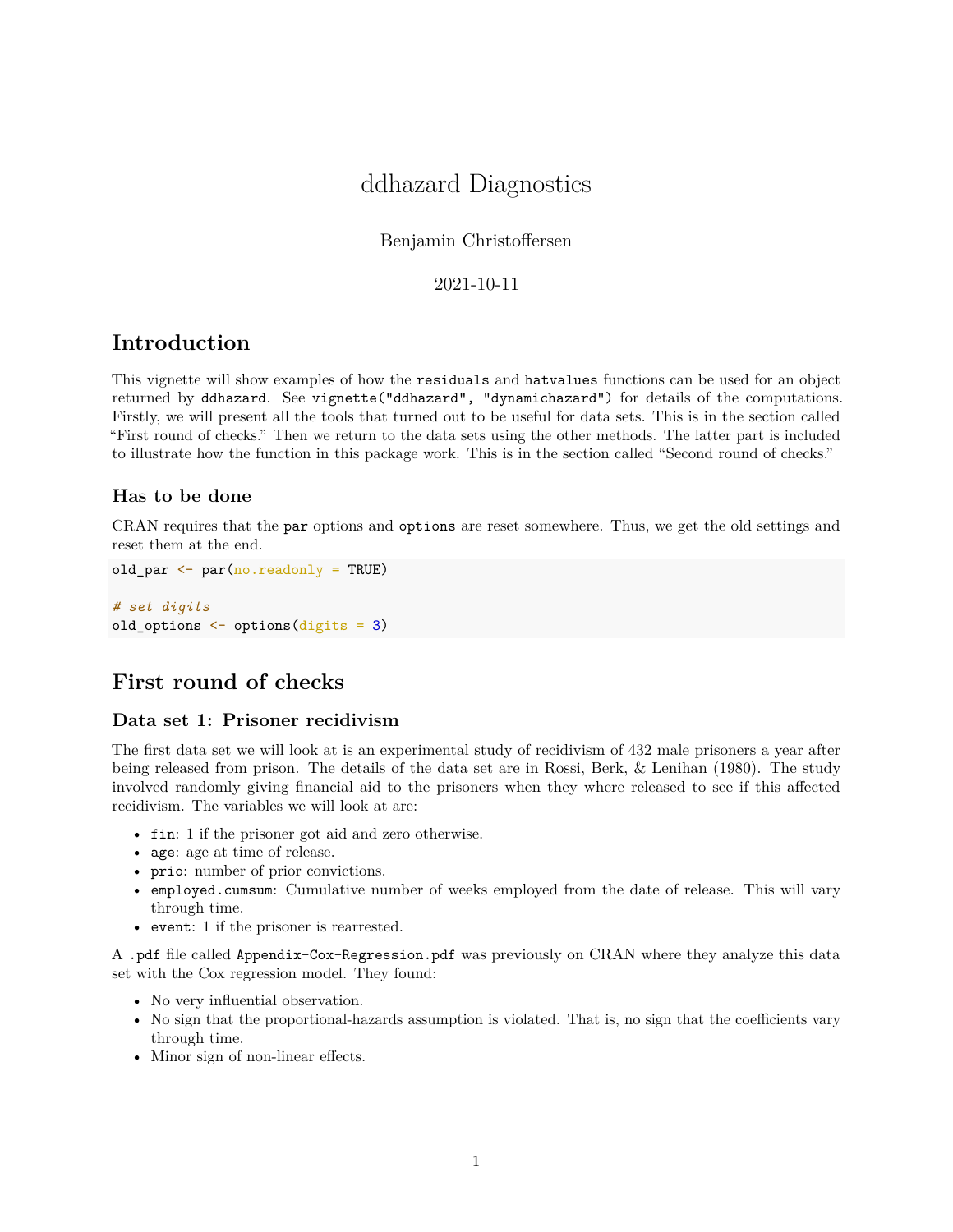# ddhazard Diagnostics

Benjamin Christoffersen

2021-10-11

## **Introduction**

This vignette will show examples of how the residuals and hatvalues functions can be used for an object returned by ddhazard. See vignette("ddhazard", "dynamichazard") for details of the computations. Firstly, we will present all the tools that turned out to be useful for data sets. This is in the section called "First round of checks." Then we return to the data sets using the other methods. The latter part is included to illustrate how the function in this package work. This is in the section called "Second round of checks."

#### **Has to be done**

CRAN requires that the par options and options are reset somewhere. Thus, we get the old settings and reset them at the end.

```
old_par <- par(no.readonly = TRUE)
```

```
# set digits
old_options <- options(digits = 3)
```
## **First round of checks**

### **Data set 1: Prisoner recidivism**

The first data set we will look at is an experimental study of recidivism of 432 male prisoners a year after being released from prison. The details of the data set are in Rossi, Berk, & Lenihan (1980). The study involved randomly giving financial aid to the prisoners when they where released to see if this affected recidivism. The variables we will look at are:

- fin: 1 if the prisoner got aid and zero otherwise.
- age: age at time of release.
- prio: number of prior convictions.
- employed.cumsum: Cumulative number of weeks employed from the date of release. This will vary through time.
- event: 1 if the prisoner is rearrested.

A .pdf file called Appendix-Cox-Regression.pdf was previously on CRAN where they analyze this data set with the Cox regression model. They found:

- No very influential observation.
- No sign that the proportional-hazards assumption is violated. That is, no sign that the coefficients vary through time.
- Minor sign of non-linear effects.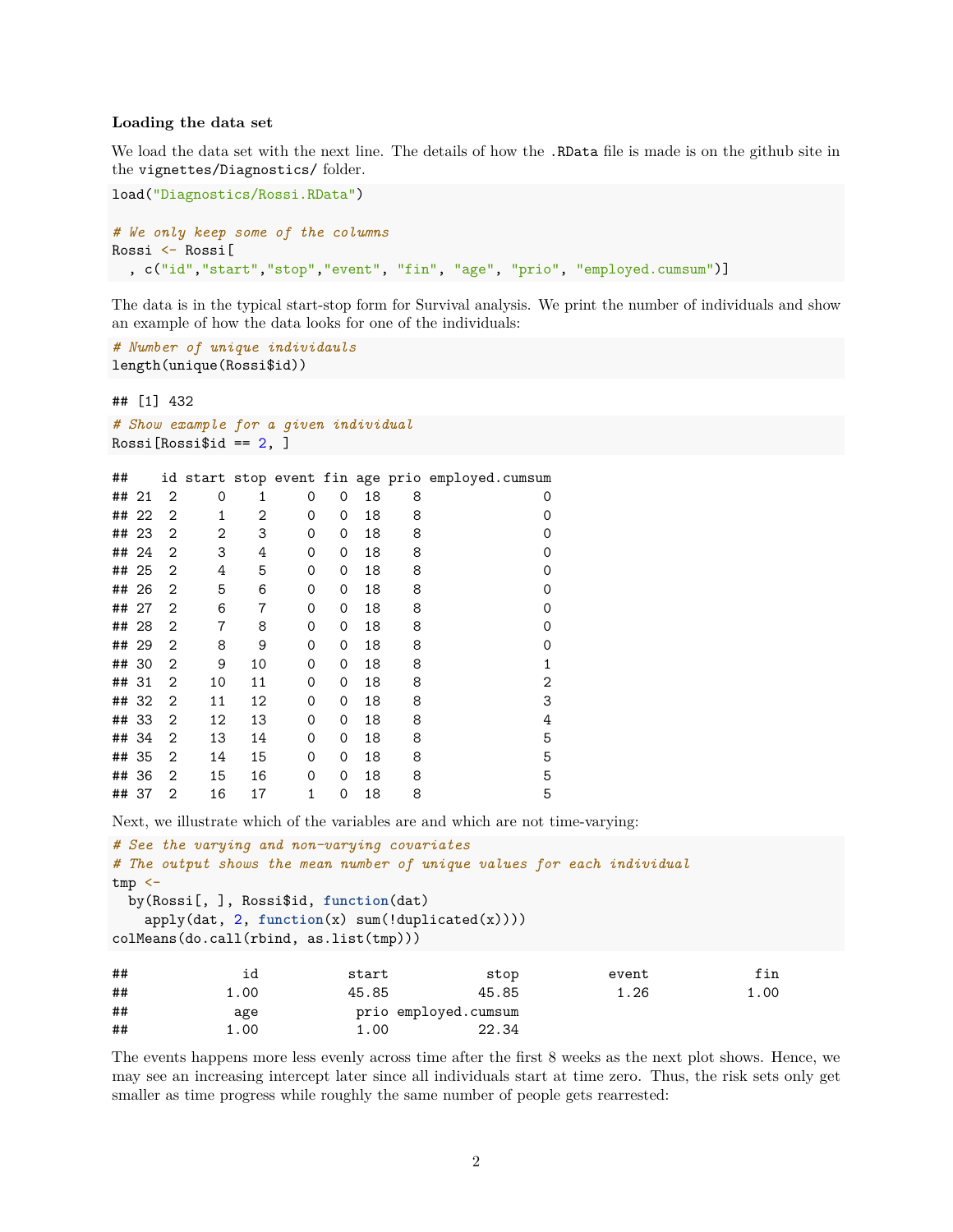#### **Loading the data set**

We load the data set with the next line. The details of how the .RData file is made is on the github site in the vignettes/Diagnostics/ folder.

```
load("Diagnostics/Rossi.RData")
# We only keep some of the columns
Rossi <- Rossi[
  , c("id","start","stop","event", "fin", "age", "prio", "employed.cumsum")]
```
The data is in the typical start-stop form for Survival analysis. We print the number of individuals and show an example of how the data looks for one of the individuals:

```
# Number of unique individauls
length(unique(Rossi$id))
```
## [1] 432

```
# Show example for a given individual
Rossi[Rossi$id == 2, ]
```

| ##    |       |                |    |    |   |          |    |   | id start stop event fin age prio employed.cumsum |
|-------|-------|----------------|----|----|---|----------|----|---|--------------------------------------------------|
| ## 21 |       | 2              | 0  | 1  | 0 | 0        | 18 | 8 | O                                                |
|       | ## 22 | $\overline{2}$ | 1  | 2  | 0 | $\Omega$ | 18 | 8 | Ω                                                |
| ## 23 |       | $\overline{2}$ | 2  | 3  | 0 | 0        | 18 | 8 | 0                                                |
| ## 24 |       | 2              | 3  | 4  | 0 | 0        | 18 | 8 | 0                                                |
| ## 25 |       | $\overline{2}$ | 4  | 5  | 0 | $\Omega$ | 18 | 8 | 0                                                |
| ## 26 |       | 2              | 5  | 6  | 0 | $\Omega$ | 18 | 8 | Ω                                                |
| ## 27 |       | $\overline{2}$ | 6  | 7  | 0 | $\Omega$ | 18 | 8 | Ω                                                |
| ## 28 |       | $\overline{2}$ | 7  | 8  | 0 | 0        | 18 | 8 | 0                                                |
| ## 29 |       | $\overline{2}$ | 8  | 9  | 0 | 0        | 18 | 8 | 0                                                |
| ## 30 |       | $\overline{2}$ | 9  | 10 | 0 | 0        | 18 | 8 | 1                                                |
| ## 31 |       | 2              | 10 | 11 | 0 | 0        | 18 | 8 | 2                                                |
| ## 32 |       | 2              | 11 | 12 | 0 | $\Omega$ | 18 | 8 | 3                                                |
| ## 33 |       | 2              | 12 | 13 | 0 | 0        | 18 | 8 | 4                                                |
| ## 34 |       | 2              | 13 | 14 | 0 | 0        | 18 | 8 | 5                                                |
| ## 35 |       | $\overline{2}$ | 14 | 15 | 0 | $\Omega$ | 18 | 8 | 5                                                |
| ## 36 |       | $\overline{2}$ | 15 | 16 | 0 | $\Omega$ | 18 | 8 | 5                                                |
| ## 37 |       | $\overline{2}$ | 16 | 17 | 1 | 0        | 18 | 8 | 5                                                |

Next, we illustrate which of the variables are and which are not time-varying:

```
# See the varying and non-varying covariates
# The output shows the mean number of unique values for each individual
tmp < -by(Rossi[, ], Rossi$id, function(dat)
  apply(dat, 2, function(x) sum(!duplicated(x))))
colMeans(do.call(rbind, as.list(tmp)))
## id start stop event fin
## 1.00 45.85 45.85 1.26 1.00
## age prio employed.cumsum
## 1.00 1.00 22.34
```
The events happens more less evenly across time after the first 8 weeks as the next plot shows. Hence, we may see an increasing intercept later since all individuals start at time zero. Thus, the risk sets only get smaller as time progress while roughly the same number of people gets rearrested: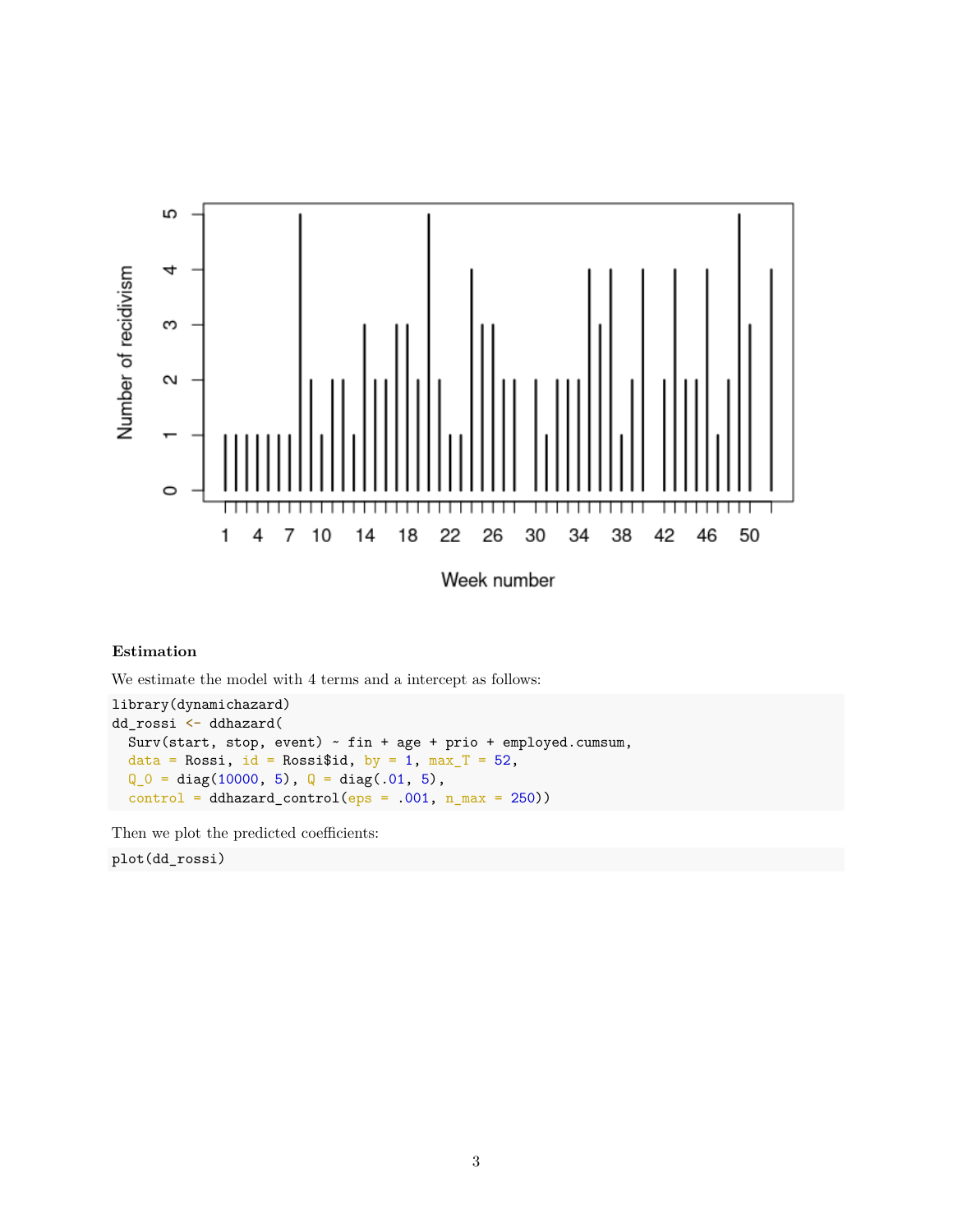

### **Estimation**

We estimate the model with 4 terms and a intercept as follows:

library(dynamichazard) dd\_rossi <- ddhazard( Surv(start, stop, event) ~ fin + age + prio + employed.cumsum, data = Rossi, id = Rossi\$id, by = 1,  $max_T$  = 52,  $Q_0 = diag(10000, 5), Q = diag(.01, 5),$  $control = ddhazardcontrol(eps = .001, n_max = 250))$ 

Then we plot the predicted coefficients:

plot(dd\_rossi)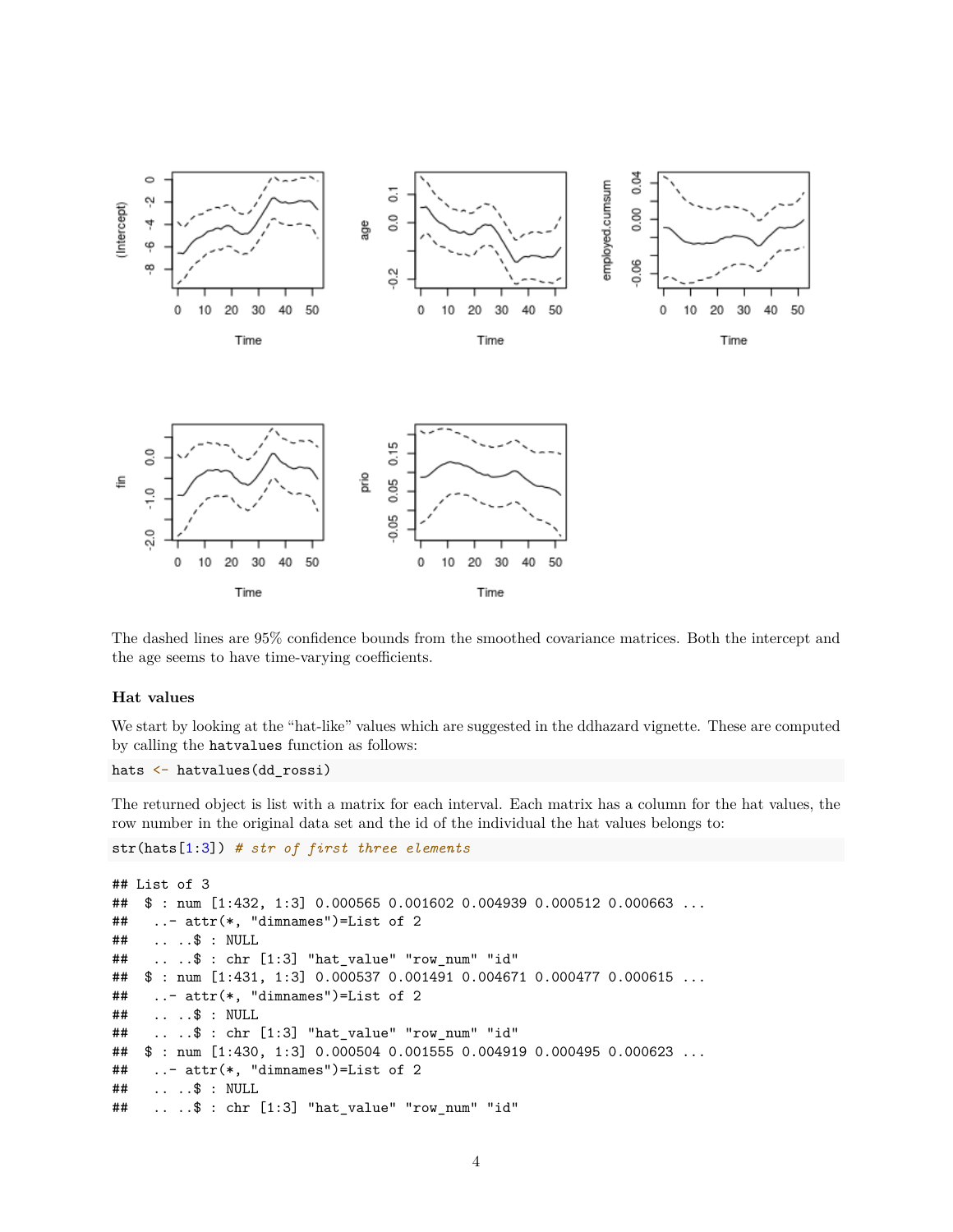

The dashed lines are 95% confidence bounds from the smoothed covariance matrices. Both the intercept and the age seems to have time-varying coefficients.

#### **Hat values**

We start by looking at the "hat-like" values which are suggested in the ddhazard vignette. These are computed by calling the hatvalues function as follows:

```
hats <- hatvalues(dd_rossi)
```
The returned object is list with a matrix for each interval. Each matrix has a column for the hat values, the row number in the original data set and the id of the individual the hat values belongs to:

```
str(hats[1:3]) # str of first three elements
```

```
## List of 3
## $ : num [1:432, 1:3] 0.000565 0.001602 0.004939 0.000512 0.000663 ...
## ..- attr(*, "dimnames")=List of 2
## .. ..$ : NULL
## .. ..$ : chr [1:3] "hat_value" "row_num" "id"
## $ : num [1:431, 1:3] 0.000537 0.001491 0.004671 0.000477 0.000615 ...
## ..- attr(*, "dimnames")=List of 2
## .. ..$ : NULL
## .. ..$ : chr [1:3] "hat_value" "row_num" "id"
## $ : num [1:430, 1:3] 0.000504 0.001555 0.004919 0.000495 0.000623 ...
## ..- attr(*, "dimnames")=List of 2
## .. ..$ : NULL
## .. ..$ : chr [1:3] "hat_value" "row_num" "id"
```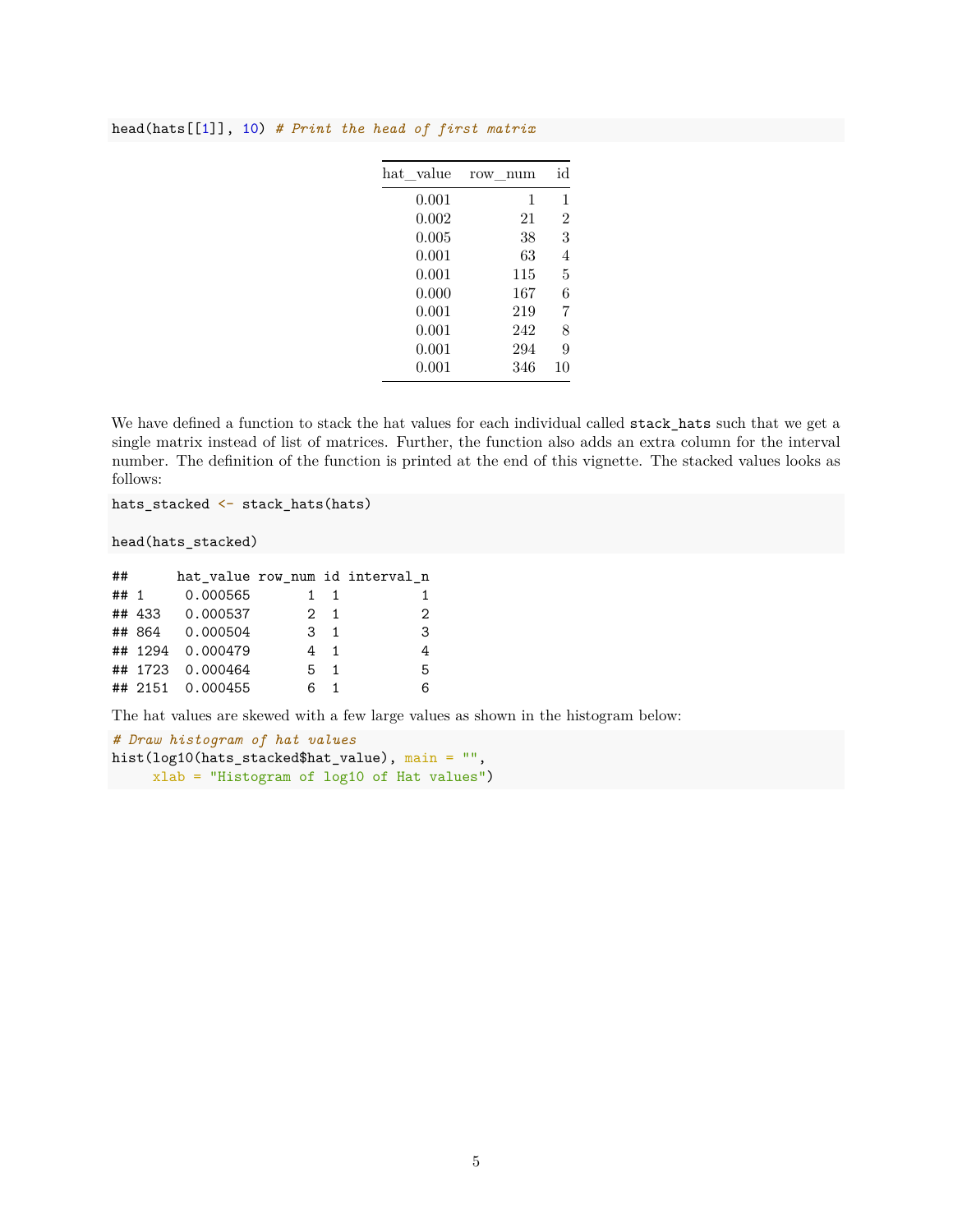#### head(hats[[1]], 10) *# Print the head of first matrix*

| hat value | num<br>row | id             |
|-----------|------------|----------------|
| 0.001     | 1          | 1              |
| 0.002     | 21         | $\overline{2}$ |
| 0.005     | 38         | 3              |
| 0.001     | 63         | 4              |
| 0.001     | 115        | 5              |
| 0.000     | 167        | 6              |
| 0.001     | 219        | 7              |
| 0.001     | 242        | 8              |
| 0.001     | 294        | 9              |
| 0.001     | 346        | 10             |
|           |            |                |

We have defined a function to stack the hat values for each individual called stack\_hats such that we get a single matrix instead of list of matrices. Further, the function also adds an extra column for the interval number. The definition of the function is printed at the end of this vignette. The stacked values looks as follows:

hats\_stacked <- stack\_hats(hats)

head(hats\_stacked)

| ##     |                  |    |                | hat_value row_num id interval_n |
|--------|------------------|----|----------------|---------------------------------|
| ## $1$ | 0.000565         |    |                |                                 |
|        | ## 433 0.000537  |    | $2 \quad 1$    | 2                               |
|        | ## 864 0.000504  |    | $\mathbf{R}$ 1 | 3                               |
|        | ## 1294 0.000479 |    | 4 1            |                                 |
|        | ## 1723 0.000464 |    | $5 \quad 1$    | 5                               |
|        | ## 2151 0.000455 | ิค |                | 6                               |

The hat values are skewed with a few large values as shown in the histogram below:

```
# Draw histogram of hat values
hist(log10(hats_stacked$hat_value), main = "",
     xlab = "Histogram of log10 of Hat values")
```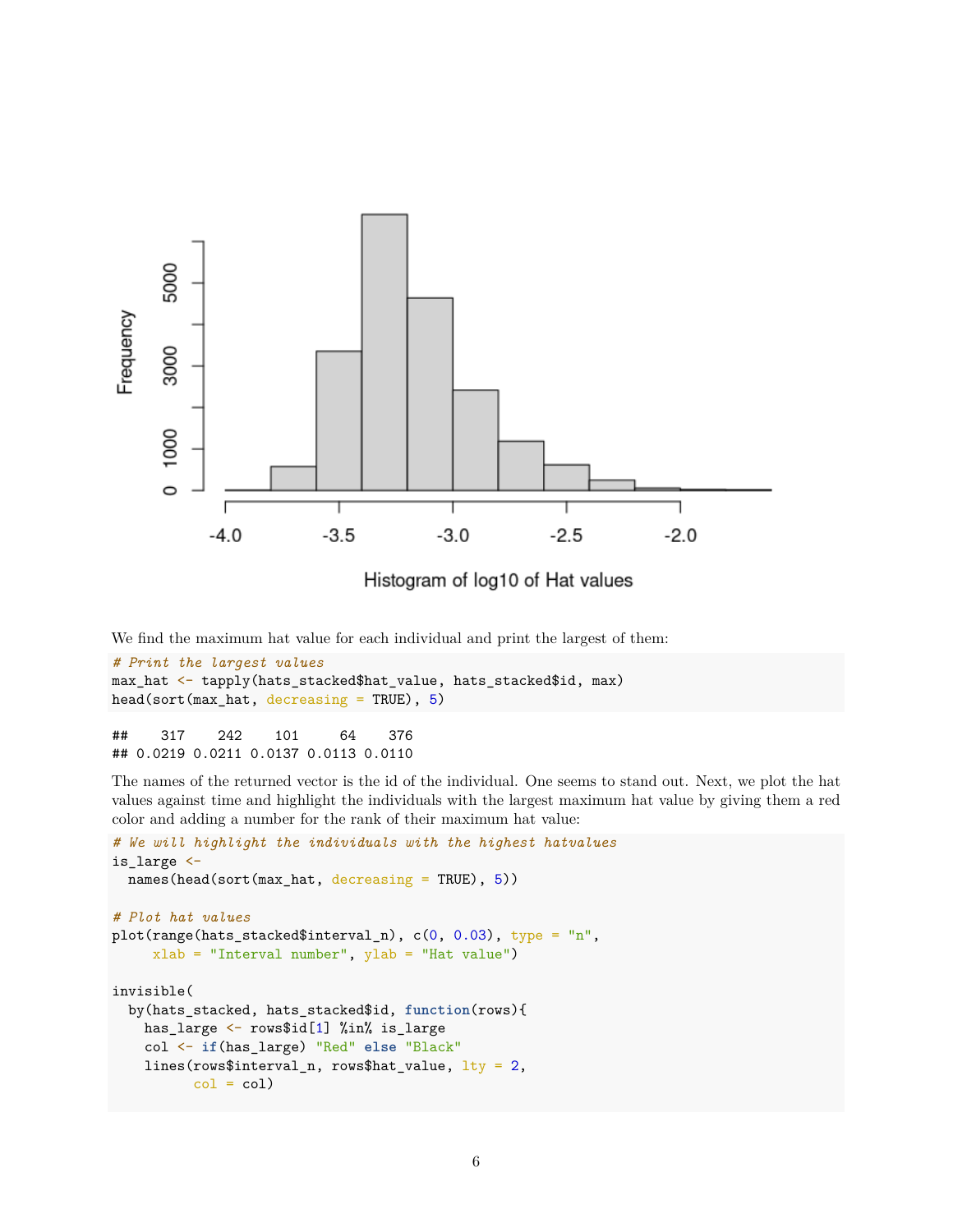

We find the maximum hat value for each individual and print the largest of them:

```
# Print the largest values
max_hat <- tapply(hats_stacked$hat_value, hats_stacked$id, max)
head(sort(max_hat, decreasing = TRUE), 5)
```
## 317 242 101 64 376 ## 0.0219 0.0211 0.0137 0.0113 0.0110

The names of the returned vector is the id of the individual. One seems to stand out. Next, we plot the hat values against time and highlight the individuals with the largest maximum hat value by giving them a red color and adding a number for the rank of their maximum hat value:

```
# We will highlight the individuals with the highest hatvalues
is_large <-
 names(head(sort(max_hat, decreasing = TRUE), 5))
# Plot hat values
plot(range(hats_stacked$interval_n), c(0, 0.03), type = "n",
     xlab = "Interval number", ylab = "Hat value")
invisible(
  by(hats_stacked, hats_stacked$id, function(rows){
   has_large <- rows$id[1] %in% is_large
   col <- if(has_large) "Red" else "Black"
   lines(rows$interval_n, rows$hat_value, lty = 2,
          col = col
```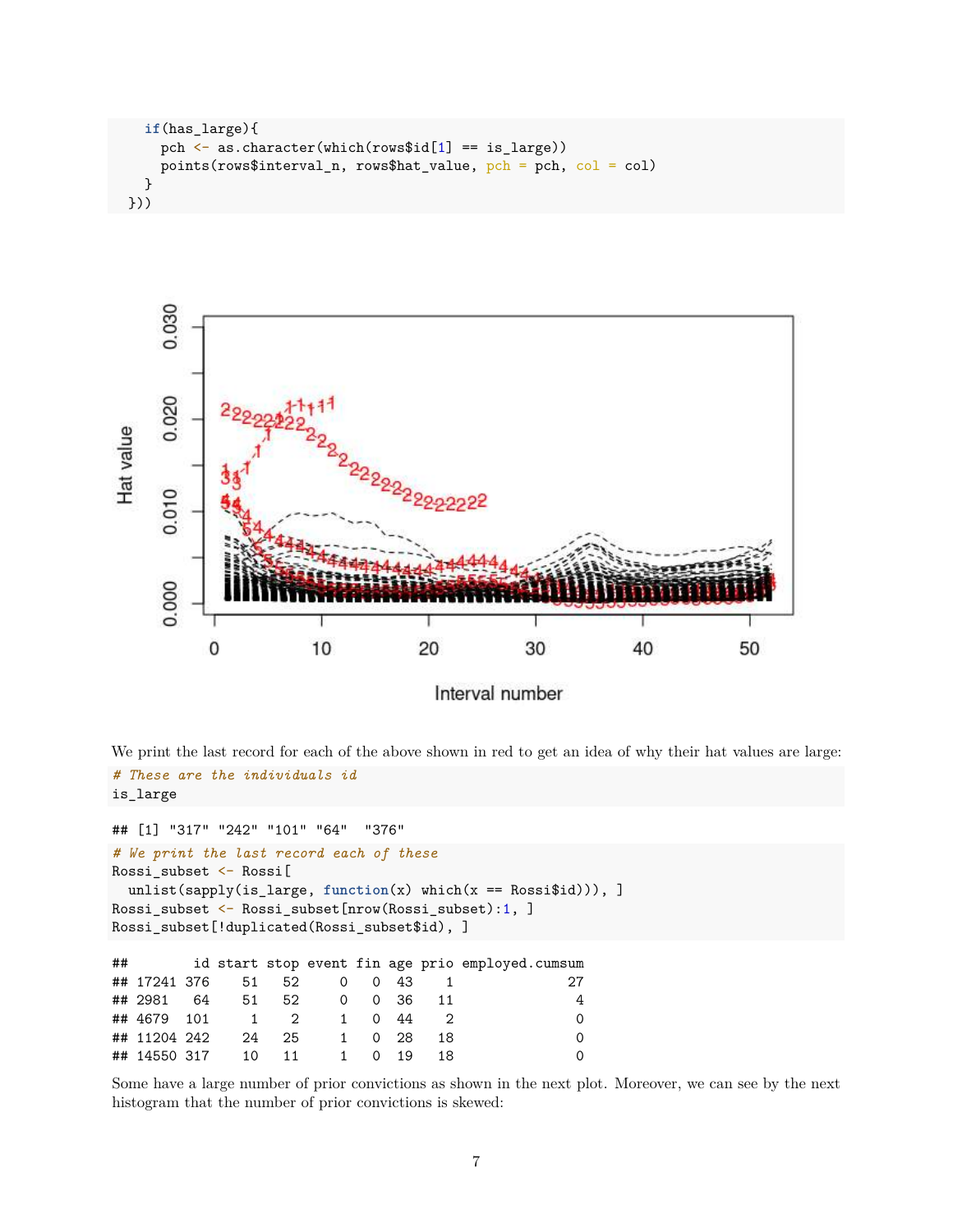```
if(has_large){
    pch \leq as.character(which(rows$id[1] == is_large))
    points(rows$interval_n, rows$hat_value, pch = pch, col = col)
  }
}))
```


We print the last record for each of the above shown in red to get an idea of why their hat values are large: *# These are the individuals id* is\_large

```
## [1] "317" "242" "101" "64" "376"
# We print the last record each of these
Rossi_subset <- Rossi[
 unlist(sapply(is_large, function(x) which(x == Rossi$id))), ]
Rossi_subset <- Rossi_subset[nrow(Rossi_subset):1, ]
Rossi_subset[!duplicated(Rossi_subset$id), ]
## id start stop event fin age prio employed.cumsum
## 17241 376 51 52 0 0 43 1 27
## 2981 64 51 52 0 0 36 11 4
## 4679 101 1 2 1 0 44 2 0
## 11204 242 24 25 1 0 28 18 0
## 14550 317 10 11 1 0 19 18 0
```
Some have a large number of prior convictions as shown in the next plot. Moreover, we can see by the next histogram that the number of prior convictions is skewed: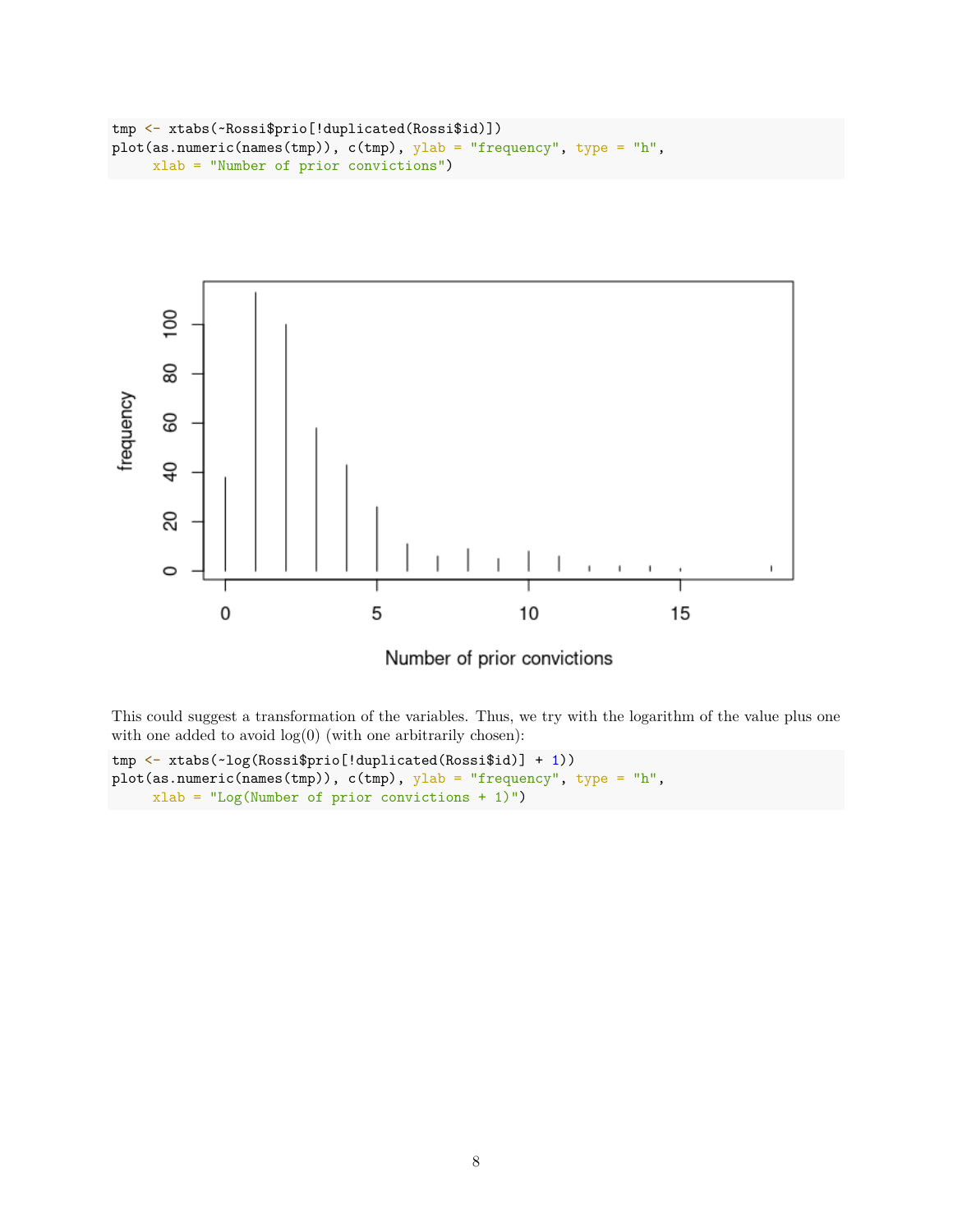```
tmp <- xtabs(~Rossi$prio[!duplicated(Rossi$id)])
plot(as.numeric(names(tmp)), c(tmp), ylab = "frequency", type = "h",
     xlab = "Number of prior convictions")
```




This could suggest a transformation of the variables. Thus, we try with the logarithm of the value plus one with one added to avoid  $log(0)$  (with one arbitrarily chosen):

```
tmp <- xtabs(~log(Rossi$prio[!duplicated(Rossi$id)] + 1))
plot(as.numeric(names(tmp)), c(tmp), ylab = "frequency", type = "h",
    xlab = "Log(Number of prior convictions + 1)")
```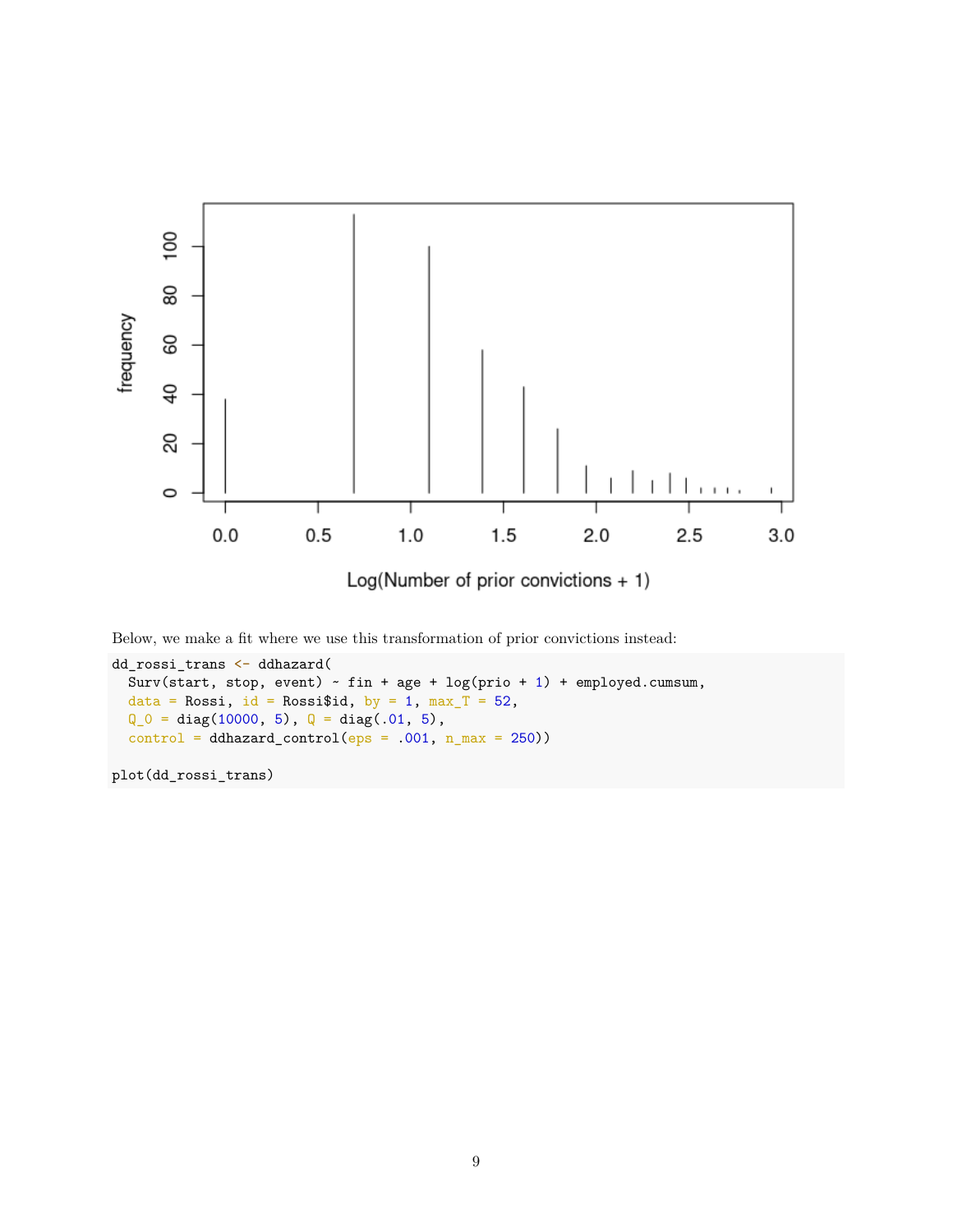

Below, we make a fit where we use this transformation of prior convictions instead:

```
dd_rossi_trans <- ddhazard(
  Surv(start, stop, event) \sim fin + age + log(prio + 1) + employed.cumsum,
  data = Rossi, id = Rossi$id, by = 1, max_T = 52,
  Q_0 = diag(10000, 5), Q = diag(.01, 5),control = ddhazard_countol(eps = .001, n_max = 250))
```
plot(dd\_rossi\_trans)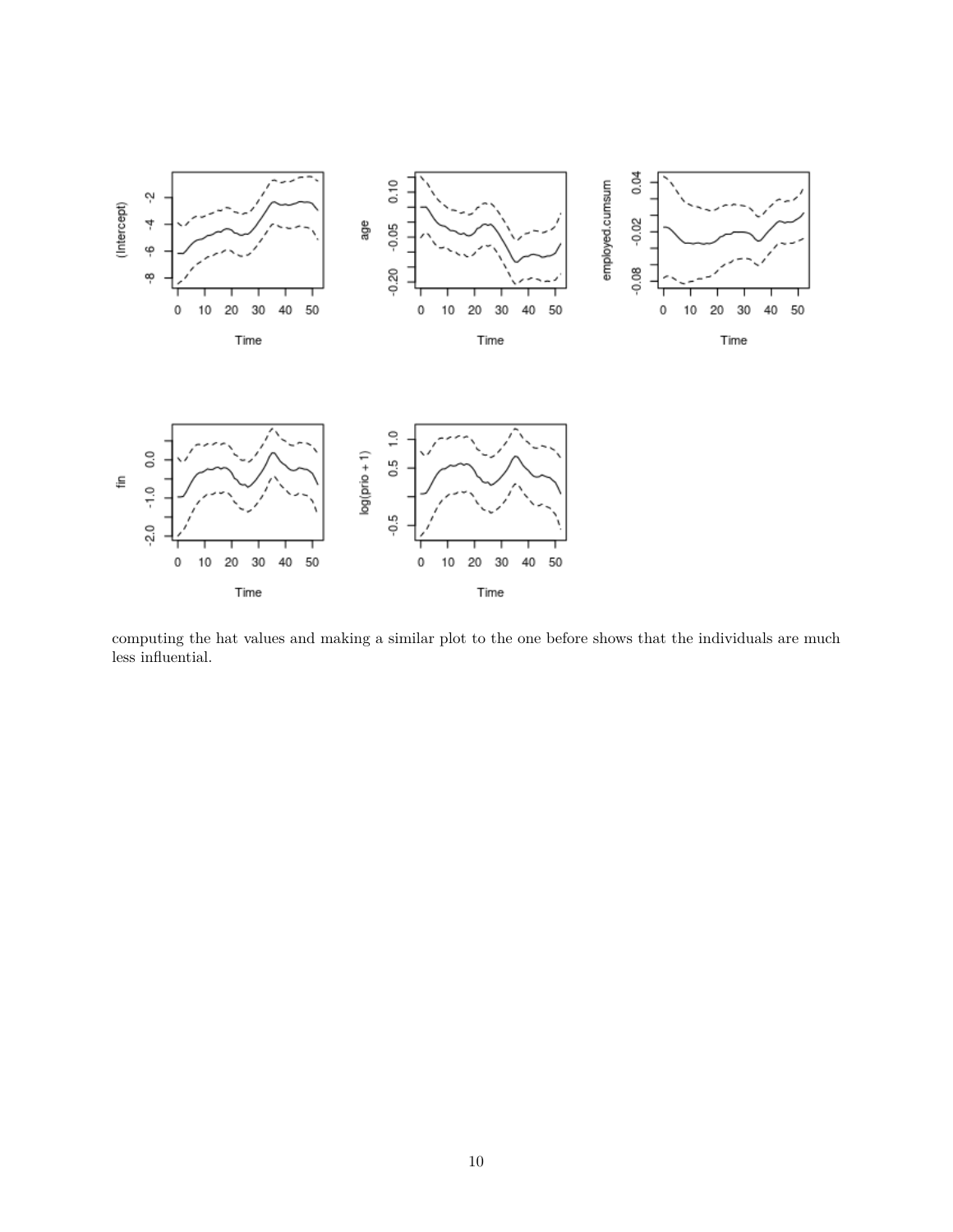

computing the hat values and making a similar plot to the one before shows that the individuals are much less influential.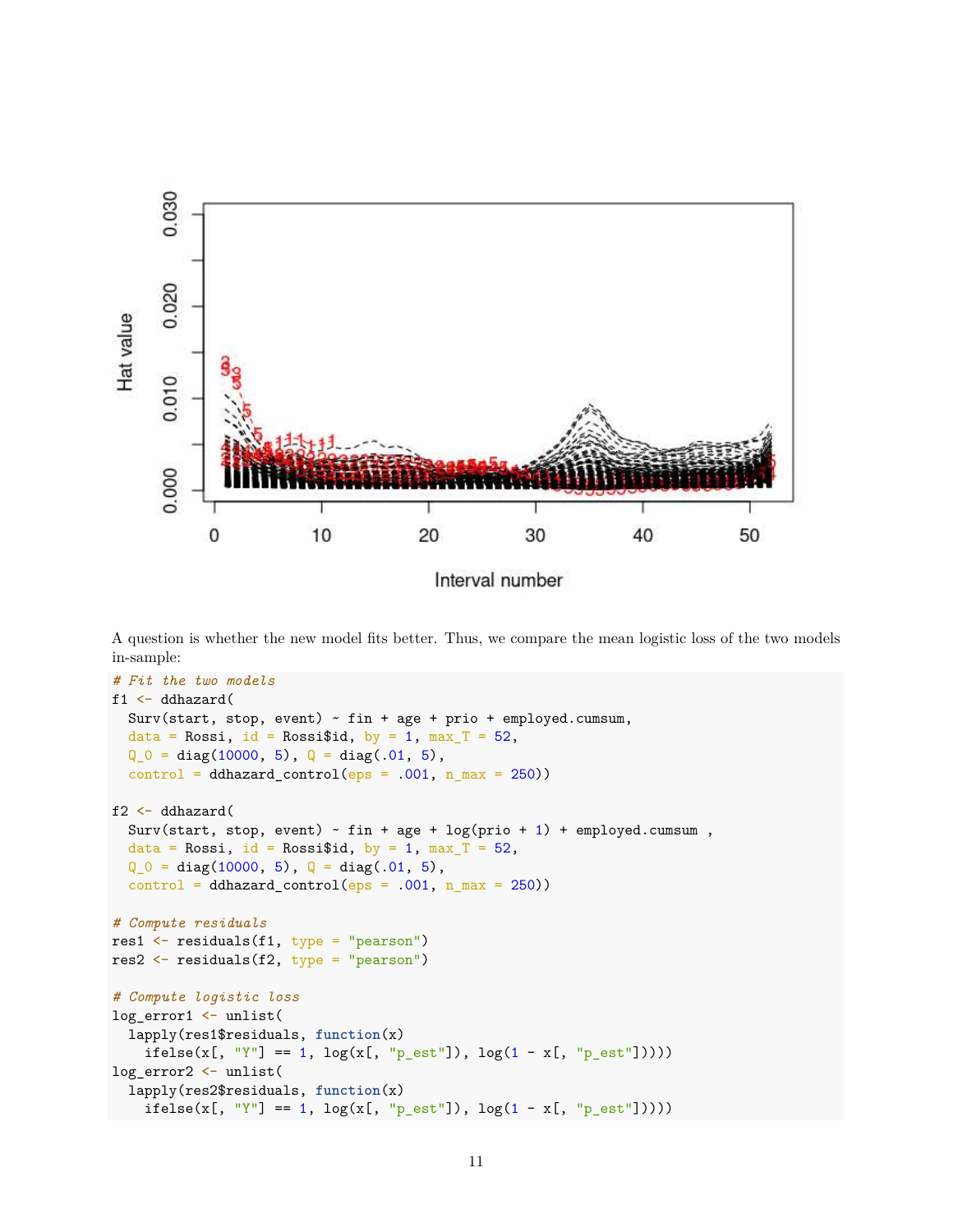

A question is whether the new model fits better. Thus, we compare the mean logistic loss of the two models in-sample:

```
# Fit the two models
f1 <- ddhazard(
  Surv(start, stop, event) ~ fin + age + prio + employed.cumsum,
  data = Rossi, id = Rossi$id, by = 1, max_T = 52,
  Q_0 = diag(10000, 5), Q = diag(.01, 5),control = ddhazard</u>control(eps = .001, n_max = 250))f2 <- ddhazard(
  Surv(start, stop, event) \sim fin + age + log(prio + 1) + employed.cumsum,
  data = Rossi, id = Rossi$id, by = 1, max_T = 52,
  Q_0 = diag(10000, 5), Q = diag(.01, 5),control = ddhazard</u>control(eps = .001, n_max = 250))# Compute residuals
res1 <- residuals(f1, type = "pearson")
res2 \leftarrow residuals(f2, type = "pearson")
# Compute logistic loss
log_error1 <- unlist(
  lapply(res1$residuals, function(x)
    ifelse(x[, "Y"] == 1, log(x[, "p_set"]), log(1 - x[, "p_set"])))log_error2 <- unlist(
  lapply(res2$residuals, function(x)
    ifelse(x[, "Y"] == 1, log(x[, "p_set"]), log(1 - x[, "p_set"])))
```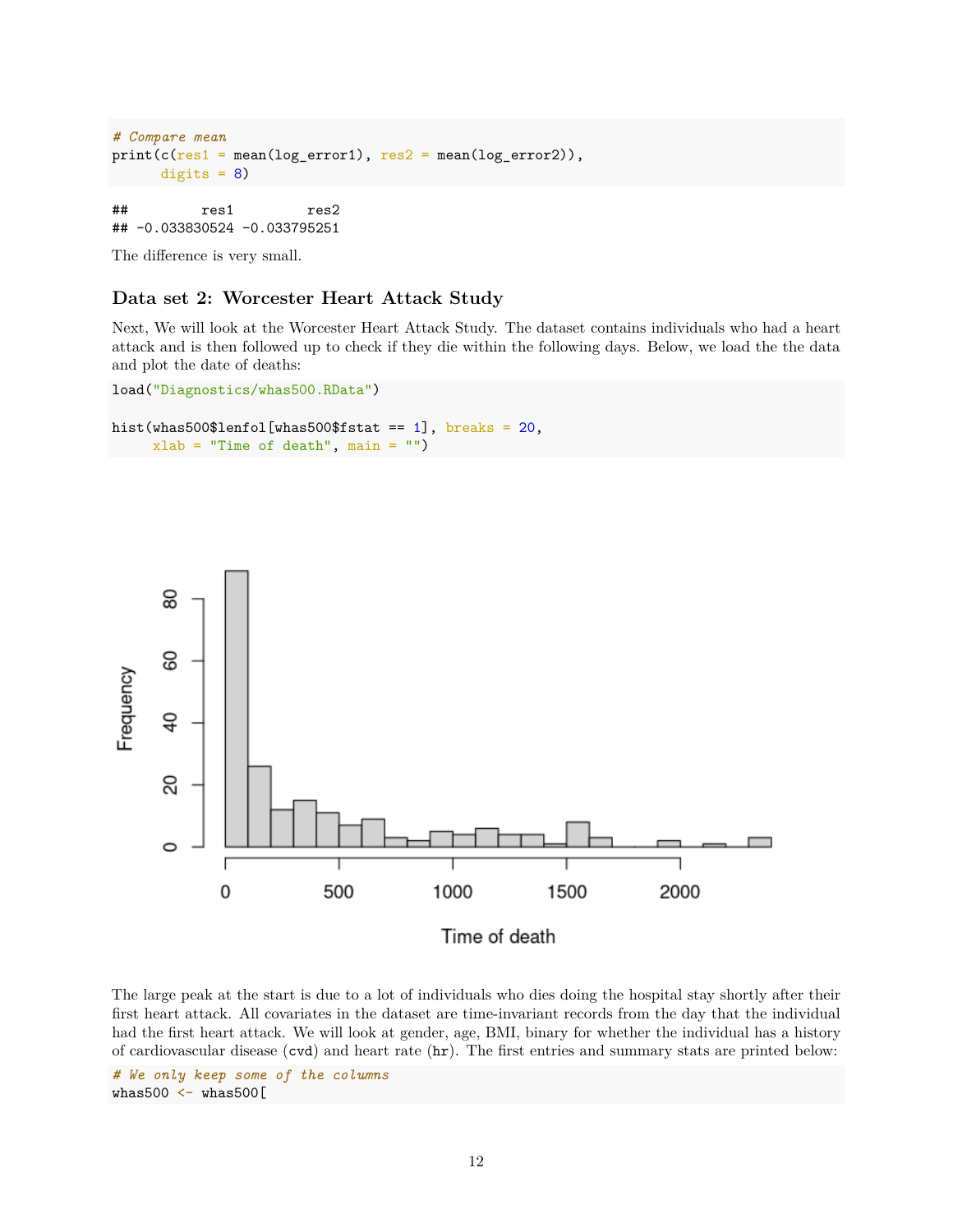```
# Compare mean
print(c(res1 = mean(log_error1), res2 = mean(log_error2)),digits = 8)
```
## res1 res2 ## -0.033830524 -0.033795251

The difference is very small.

#### **Data set 2: Worcester Heart Attack Study**

Next, We will look at the Worcester Heart Attack Study. The dataset contains individuals who had a heart attack and is then followed up to check if they die within the following days. Below, we load the the data and plot the date of deaths:

```
load("Diagnostics/whas500.RData")
```

```
hist(whas500$lenfol[whas500$fstat == 1], breaks = 20,
     xlab = "Time of death", main = "")
```


The large peak at the start is due to a lot of individuals who dies doing the hospital stay shortly after their first heart attack. All covariates in the dataset are time-invariant records from the day that the individual had the first heart attack. We will look at gender, age, BMI, binary for whether the individual has a history of cardiovascular disease (cvd) and heart rate (hr). The first entries and summary stats are printed below:

*# We only keep some of the columns* whas500 <- whas500[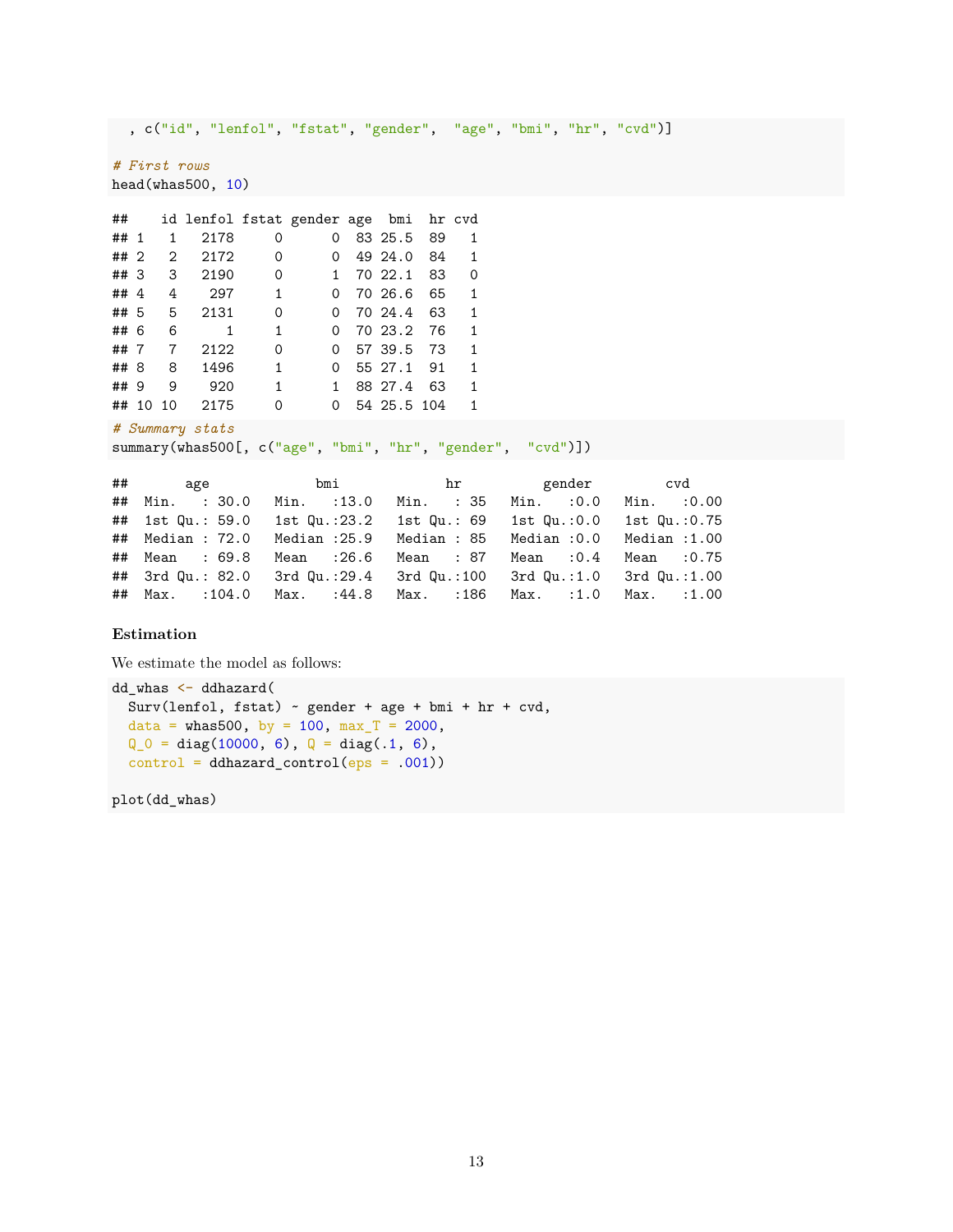```
, c("id", "lenfol", "fstat", "gender", "age", "bmi", "hr", "cvd")]
# First rows
head(whas500, 10)
## id lenfol fstat gender age bmi hr cvd
## 1 1 2178 0 0 83 25.5 89 1
## 2 2 2172 0 0 49 24.0 84 1
## 3 3 2190 0 1 70 22.1 83 0
## 4 4 297 1 0 70 26.6 65 1
## 5 5 2131 0 0 70 24.4 63 1
## 6 6 1 1 0 70 23.2 76 1
```
## 7 7 2122 0 0 57 39.5 73 1 ## 8 8 1496 1 0 55 27.1 91 1 ## 9 9 920 1 1 88 27.4 63 1 ## 10 10 2175 0 0 54 25.5 104 1

```
# Summary stats
```
summary(whas500[, c("age", "bmi", "hr", "gender", "cvd")])

|                                                                    | bmi        | hr | gender cvd                       |  |
|--------------------------------------------------------------------|------------|----|----------------------------------|--|
| ## Min. : 30.0 Min. : 13.0 Min. : 35 Min. : 0.0 Min. : 0.00        |            |    |                                  |  |
| ## 1st Qu.: 59.0 1st Qu.:23.2 1st Qu.: 69 1st Qu.:0.0 1st Qu.:0.75 |            |    |                                  |  |
| ## Median : 72.0 Median :25.9 Median : 85 Median :0.0 Median :1.00 |            |    |                                  |  |
| ## Mean : 69.8                                                     | Mean :26.6 |    | Mean : 87 Mean : 0.4 Mean : 0.75 |  |
| ## 3rd Qu.: 82.0 3rd Qu.:29.4 3rd Qu.:100 3rd Qu.:1.0 3rd Qu.:1.00 |            |    |                                  |  |
| ## Max. :104.0 Max. :44.8 Max. :186 Max. :1.0 Max. :1.00           |            |    |                                  |  |

### **Estimation**

We estimate the model as follows:

```
dd_whas <- ddhazard(
  Surv(lenfol, fstat) ~ gender + age + bmi + hr + cvd,
 data = whas500, by = 100, max_T = 2000,
 Q_0 = diag(10000, 6), Q = diag(.1, 6),control = ddhazard</u>control(eps = .001))
```
plot(dd\_whas)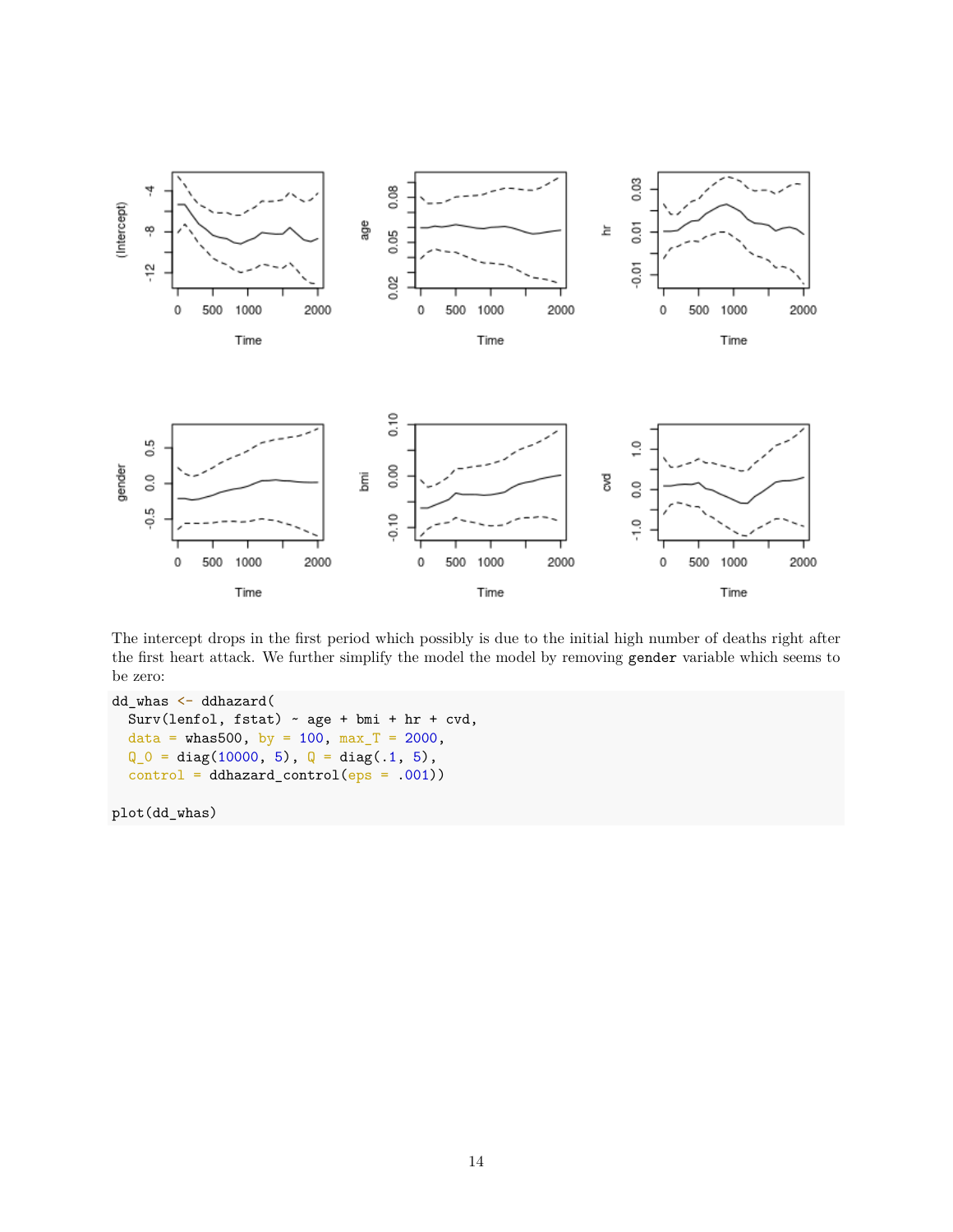

The intercept drops in the first period which possibly is due to the initial high number of deaths right after the first heart attack. We further simplify the model the model by removing gender variable which seems to be zero:

```
dd_whas <- ddhazard(
  Surv(lenfol, fstat) \sim age + bmi + hr + cvd,
 data = whas500, by = 100, max_T = 2000,
  Q_0 = diag(10000, 5), Q = diag(.1, 5),control = ddhazard_countrol(eps = .001))
```
plot(dd\_whas)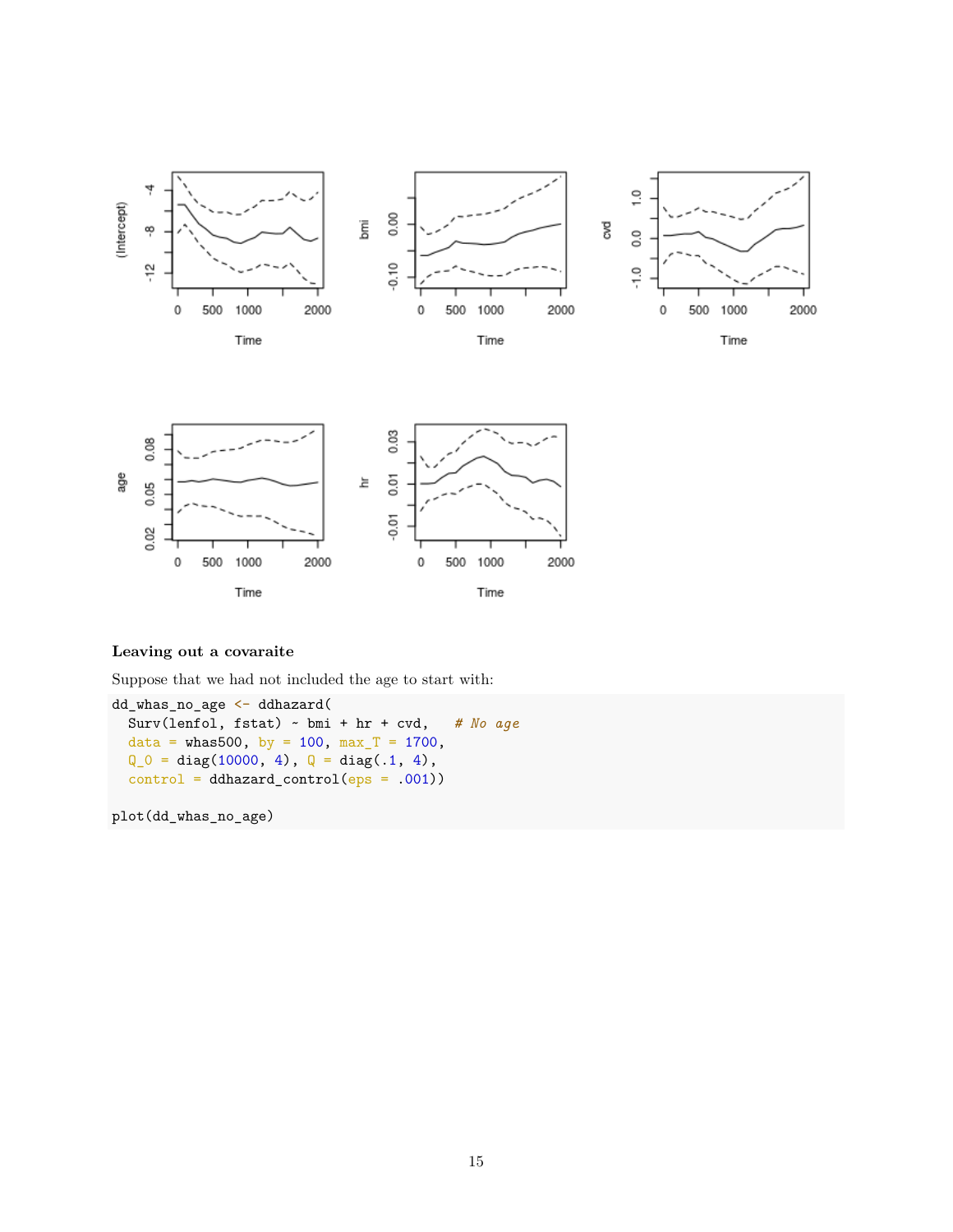



### **Leaving out a covaraite**

Suppose that we had not included the age to start with:

```
dd_whas_no_age <- ddhazard(
 Surv(lenfol, fstat) ~ bmi + hr + cvd, # No age
 data = whas500, by = 100, max_T = 1700,
 Q_0 = diag(10000, 4), Q = diag(.1, 4),control = ddhazardcontrol(eps = .001))
```
plot(dd\_whas\_no\_age)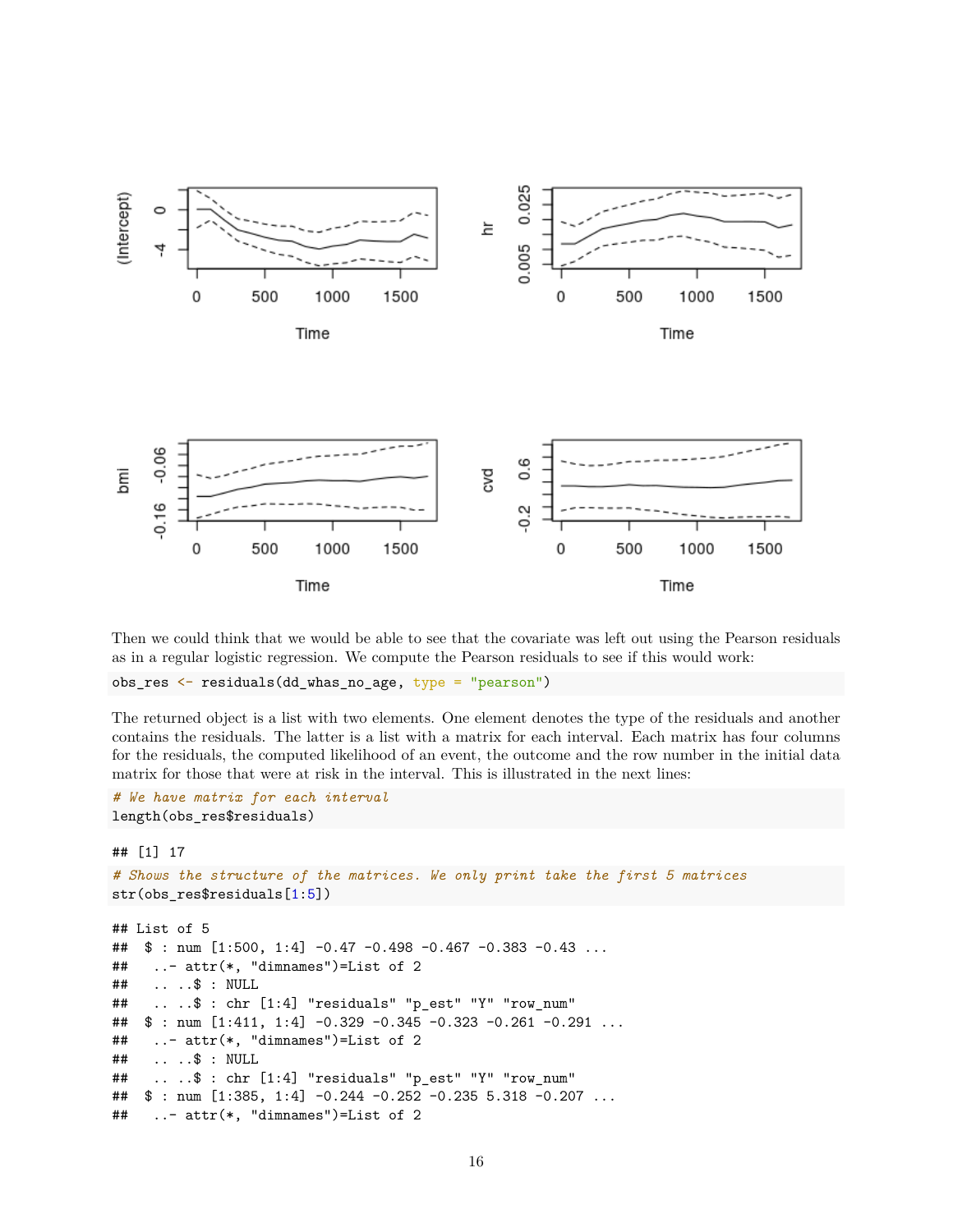

Then we could think that we would be able to see that the covariate was left out using the Pearson residuals as in a regular logistic regression. We compute the Pearson residuals to see if this would work:

obs\_res <- residuals(dd\_whas\_no\_age, type = "pearson")

The returned object is a list with two elements. One element denotes the type of the residuals and another contains the residuals. The latter is a list with a matrix for each interval. Each matrix has four columns for the residuals, the computed likelihood of an event, the outcome and the row number in the initial data matrix for those that were at risk in the interval. This is illustrated in the next lines:

```
# We have matrix for each interval
length(obs_res$residuals)
```

```
## [1] 17
```

```
# Shows the structure of the matrices. We only print take the first 5 matrices
str(obs_res$residuals[1:5])
```

```
## List of 5
## $ : num [1:500, 1:4] -0.47 -0.498 -0.467 -0.383 -0.43 ...
## ..- attr(*, "dimnames")=List of 2
## .. ..$ : NULL
## .. ..$ : chr [1:4] "residuals" "p_est" "Y" "row_num"
## \frac{1}{2} : num [1:411, 1:4] -0.329 -0.345 -0.323 -0.261 -0.291 ...
## ..- attr(*, "dimnames")=List of 2
## .. ..$ : NULL
## .. ..$ : chr [1:4] "residuals" "p_est" "Y" "row_num"
## $ : num [1:385, 1:4] -0.244 -0.252 -0.235 5.318 -0.207 ...
## ..- attr(*, "dimnames")=List of 2
```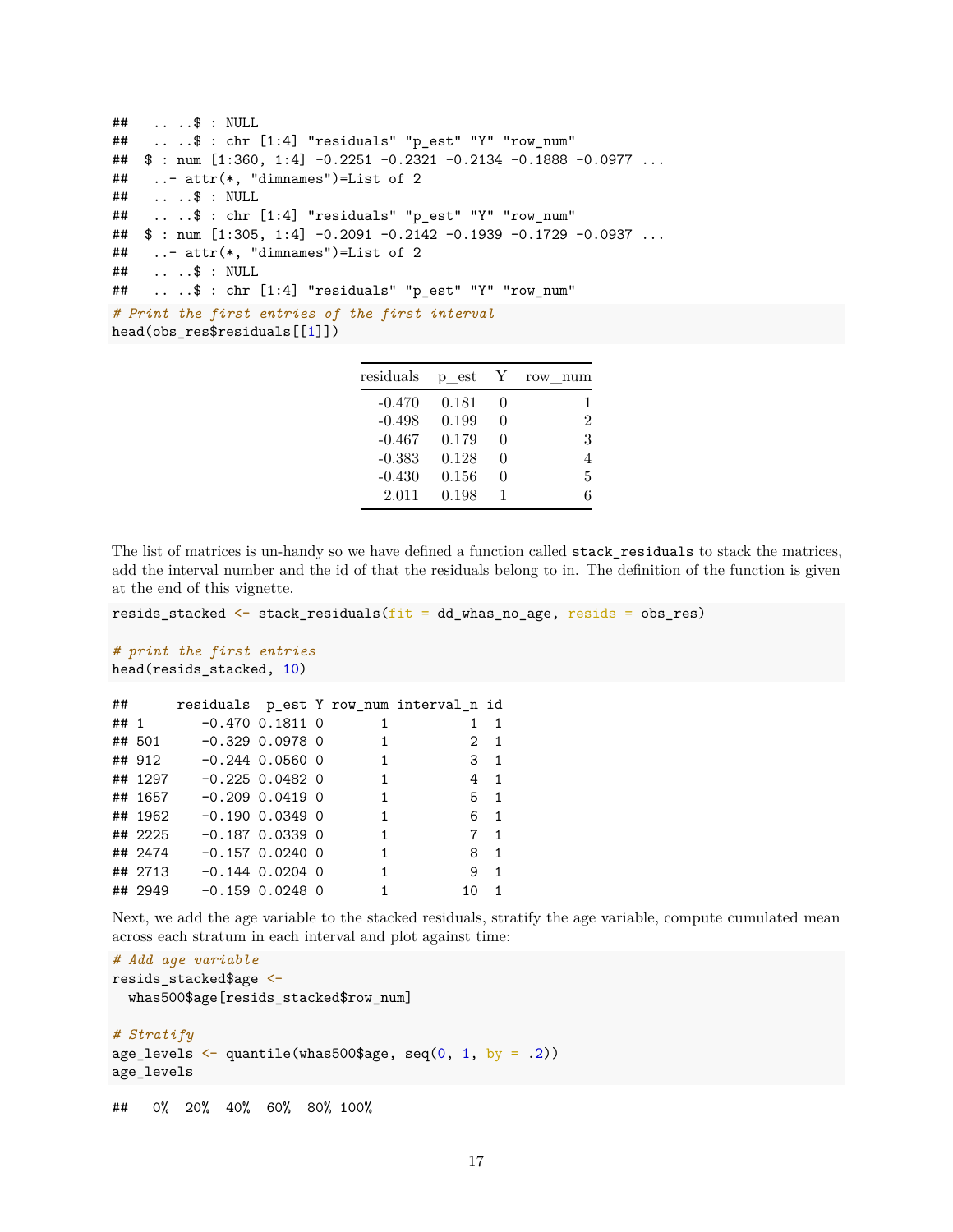```
## .. ..$ : NULL
## .. ..$ : chr [1:4] "residuals" "p_est" "Y" "row_num"
## $ : num [1:360, 1:4] -0.2251 -0.2321 -0.2134 -0.1888 -0.0977 ...
## ..- attr(*, "dimnames")=List of 2
## .. ..$ : NULL
## .. ..$ : chr [1:4] "residuals" "p_est" "Y" "row_num"
## $ : num [1:305, 1:4] -0.2091 -0.2142 -0.1939 -0.1729 -0.0937 ...
## ..- attr(*, "dimnames")=List of 2
## .. ..$ : NULL
## .. ..$ : chr [1:4] "residuals" "p_est" "Y" "row_num"
# Print the first entries of the first interval
head(obs_res$residuals[[1]])
```

| residuals | p est |                   | num<br>row     |
|-----------|-------|-------------------|----------------|
| $-0.470$  | 0.181 | $\mathbf{\Omega}$ |                |
| $-0.498$  | 0.199 | $\mathbf{0}$      | $\overline{2}$ |
| $-0.467$  | 0.179 | $\left( \right)$  | 3              |
| $-0.383$  | 0.128 | $\mathcal{O}$     |                |
| $-0.430$  | 0.156 | $\mathbf{\Omega}$ | 5              |
| 2.011     | 0.198 |                   | 6              |

The list of matrices is un-handy so we have defined a function called stack\_residuals to stack the matrices, add the interval number and the id of that the residuals belong to in. The definition of the function is given at the end of this vignette.

resids\_stacked  $\leq$  stack\_residuals( $fit = dd_{\mu}$ whas\_no\_age, resids = obs\_res)

```
# print the first entries
head(resids stacked, 10)
```

|         |                        |                   |                            | ## residuals pest Y row num interval n id |                |  |
|---------|------------------------|-------------------|----------------------------|-------------------------------------------|----------------|--|
|         |                        |                   | $\sim$ 1                   | 1                                         | $\overline{1}$ |  |
|         | ## 501 -0.329 0.0978 0 |                   | $\overline{\mathbf{1}}$    |                                           | $2 \quad 1$    |  |
|         | ## 912 -0.244 0.0560 0 |                   | $\overline{\phantom{a}}$ 1 | $3\quad1$                                 |                |  |
|         |                        |                   | $\sim$ 1                   |                                           | $4 \quad 1$    |  |
|         |                        |                   | $\mathbf{1}$               |                                           | $5 \quad 1$    |  |
|         |                        |                   | $\overline{1}$             |                                           | 6 1            |  |
| ## 2225 |                        | $-0.187$ 0.0339 0 | $\mathbf{1}$               |                                           | $7 \quad 1$    |  |
|         |                        |                   | $\overline{1}$             |                                           | 8 1            |  |
|         |                        |                   | $\overline{1}$             |                                           | 9 1            |  |
|         |                        |                   | $\overline{1}$             | 10.                                       | $\overline{1}$ |  |
|         |                        |                   |                            |                                           |                |  |

Next, we add the age variable to the stacked residuals, stratify the age variable, compute cumulated mean across each stratum in each interval and plot against time:

```
# Add age variable
resids_stacked$age <-
  whas500$age[resids_stacked$row_num]
```

```
# Stratify
age_levels \leq quantile(whas500$age, seq(0, 1, by = .2))
age_levels
```
## 0% 20% 40% 60% 80% 100%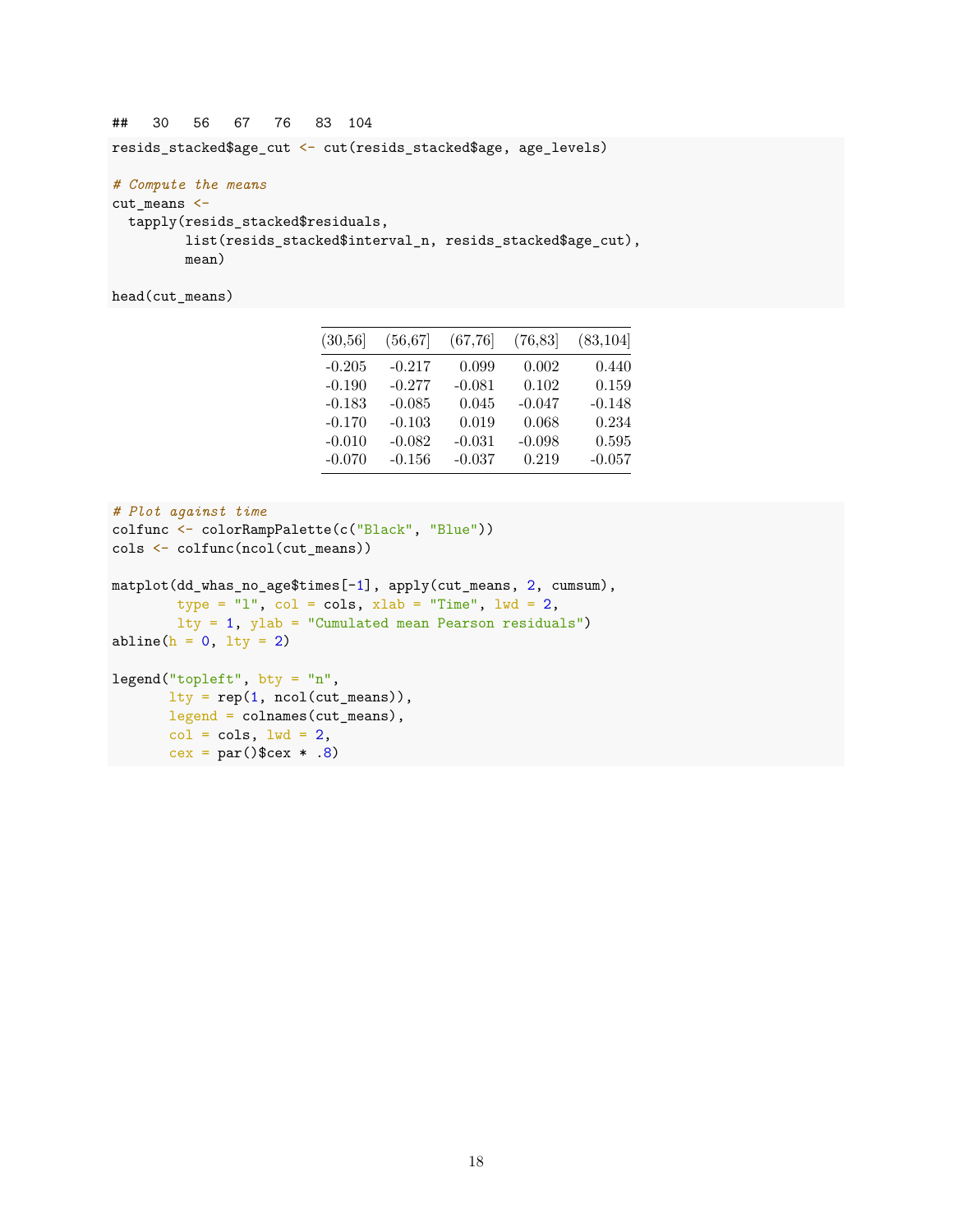## 30 56 67 76 83 104

 $cex = par()$ \$cex  $* .8)$ 

resids\_stacked\$age\_cut <- cut(resids\_stacked\$age, age\_levels)

```
# Compute the means
cut_means <-
```

```
tapply(resids_stacked$residuals,
       list(resids_stacked$interval_n, resids_stacked$age_cut),
       mean)
```
head(cut\_means)

| (30, 56) | (56, 67) | (67, 76) | (76, 83) | (83, 104) |
|----------|----------|----------|----------|-----------|
| $-0.205$ | $-0.217$ | 0.099    | 0.002    | 0.440     |
| $-0.190$ | $-0.277$ | $-0.081$ | 0.102    | 0.159     |
| $-0.183$ | $-0.085$ | 0.045    | $-0.047$ | $-0.148$  |
| $-0.170$ | $-0.103$ | 0.019    | 0.068    | 0.234     |
| $-0.010$ | $-0.082$ | $-0.031$ | $-0.098$ | 0.595     |
| $-0.070$ | $-0.156$ | $-0.037$ | 0.219    | $-0.057$  |

```
# Plot against time
colfunc <- colorRampPalette(c("Black", "Blue"))
cols <- colfunc(ncol(cut_means))
matplot(dd_whas_no_age$times[-1], apply(cut_means, 2, cumsum),
        type = "l", col = cols, xlab = "Time", \frac{1}{wd} = 2,
        lty = 1, ylab = "Cumulated mean Pearson residuals")
abline(h = 0, lty = 2)
legend("topleft", bty = "n",
       lty = rep(1, ncol(cut_means)),legend = colnames(cut_means),
      col = cols, lwd = 2,
```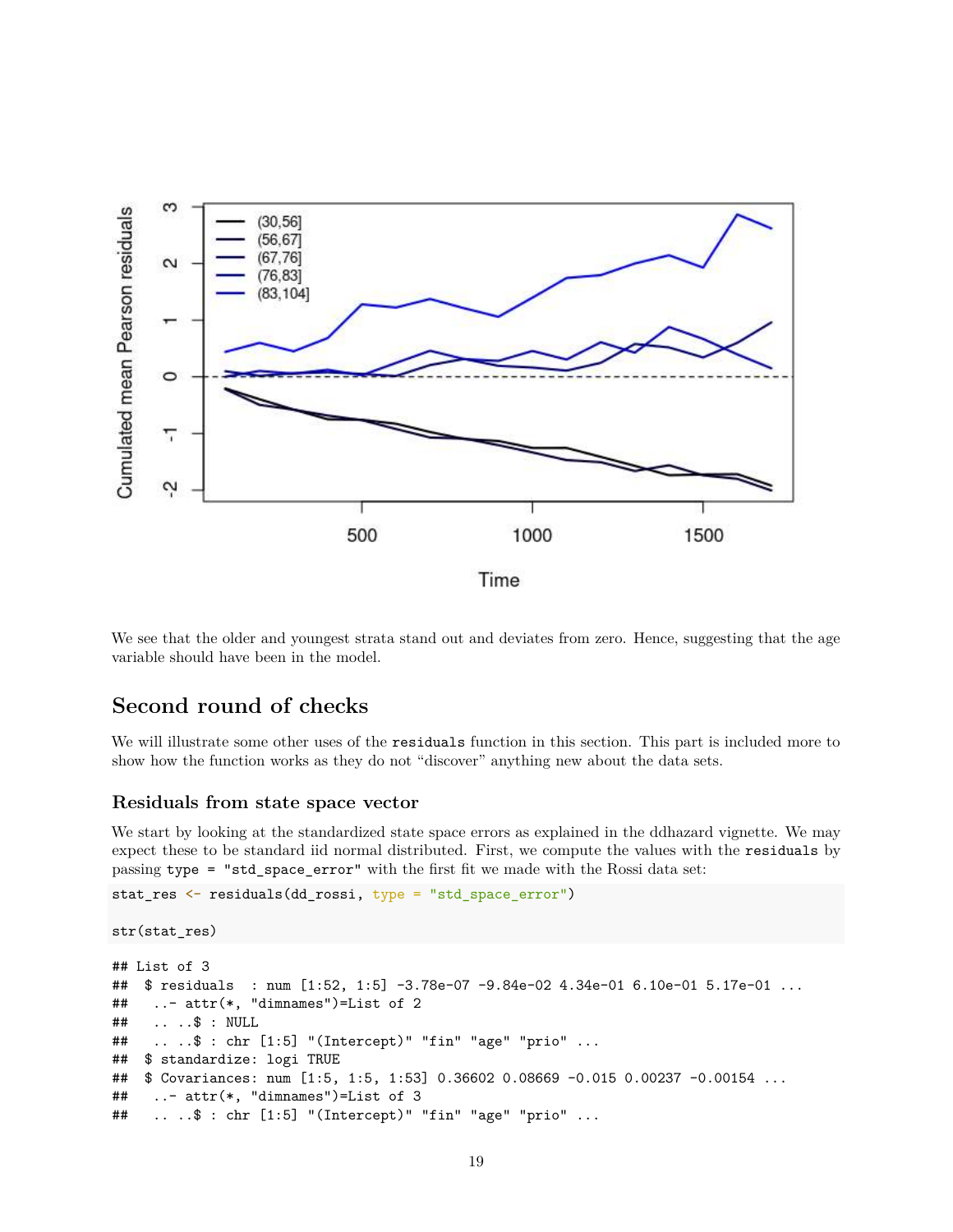

We see that the older and youngest strata stand out and deviates from zero. Hence, suggesting that the age variable should have been in the model.

## **Second round of checks**

We will illustrate some other uses of the residuals function in this section. This part is included more to show how the function works as they do not "discover" anything new about the data sets.

#### **Residuals from state space vector**

We start by looking at the standardized state space errors as explained in the ddhazard vignette. We may expect these to be standard iid normal distributed. First, we compute the values with the residuals by passing type = "std\_space\_error" with the first fit we made with the Rossi data set:

```
stat_res <- residuals(dd_rossi, type = "std_space_error")
```

```
str(stat_res)
## List of 3
## $ residuals : num [1:52, 1:5] -3.78e-07 -9.84e-02 4.34e-01 6.10e-01 5.17e-01 ...
## ..- attr(*, "dimnames")=List of 2
## .. ..$ : NULL
## .. ..$ : chr [1:5] "(Intercept)" "fin" "age" "prio" ...
## $ standardize: logi TRUE
## $ Covariances: num [1:5, 1:5, 1:53] 0.36602 0.08669 -0.015 0.00237 -0.00154 ...
## ..- attr(*, "dimnames")=List of 3
## .. ..$ : chr [1:5] "(Intercept)" "fin" "age" "prio" ...
```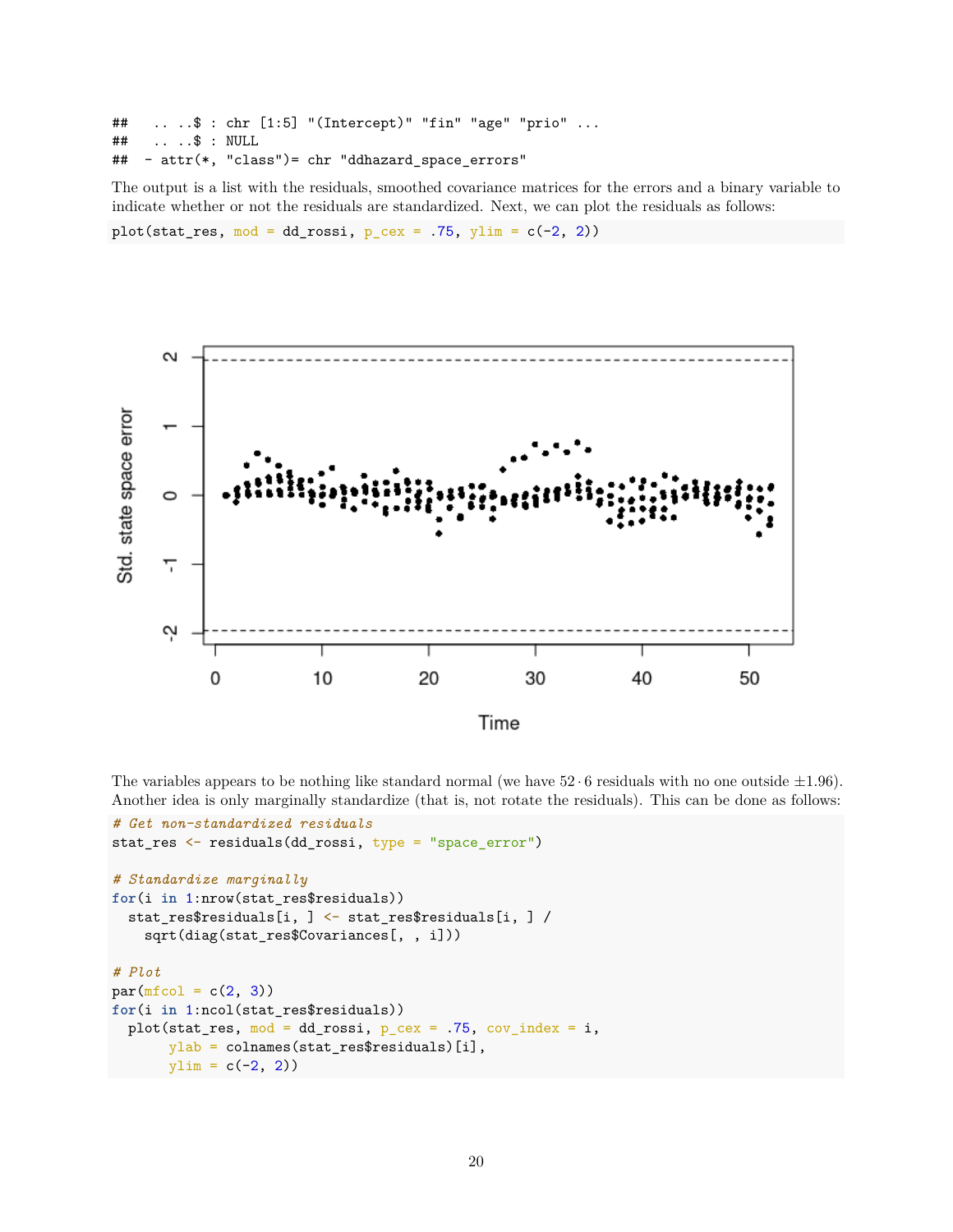## .. ..\$ : chr [1:5] "(Intercept)" "fin" "age" "prio" ... ## .. ..\$ : NULL ## - attr(\*, "class")= chr "ddhazard\_space\_errors"

The output is a list with the residuals, smoothed covariance matrices for the errors and a binary variable to indicate whether or not the residuals are standardized. Next, we can plot the residuals as follows: plot(stat\_res,  $mod = dd$ -rossi,  $p$ \_cex = .75, ylim =  $c(-2, 2)$ )



The variables appears to be nothing like standard normal (we have  $52 \cdot 6$  residuals with no one outside  $\pm 1.96$ ). Another idea is only marginally standardize (that is, not rotate the residuals). This can be done as follows:

```
# Get non-standardized residuals
stat_res <- residuals(dd_rossi, type = "space_error")
# Standardize marginally
for(i in 1:nrow(stat_res$residuals))
 stat_res$residuals[i, ] <- stat_res$residuals[i, ] /
    sqrt(diag(stat_res$Covariances[, , i]))
# Plot
par(mfcol = c(2, 3))for(i in 1:ncol(stat_res$residuals))
 plot(stat_res, mod = dd_rossi, p_{c}ex = .75, cov_index = i,
      ylab = colnames(stat_res$residuals)[i],
      ylim = c(-2, 2)
```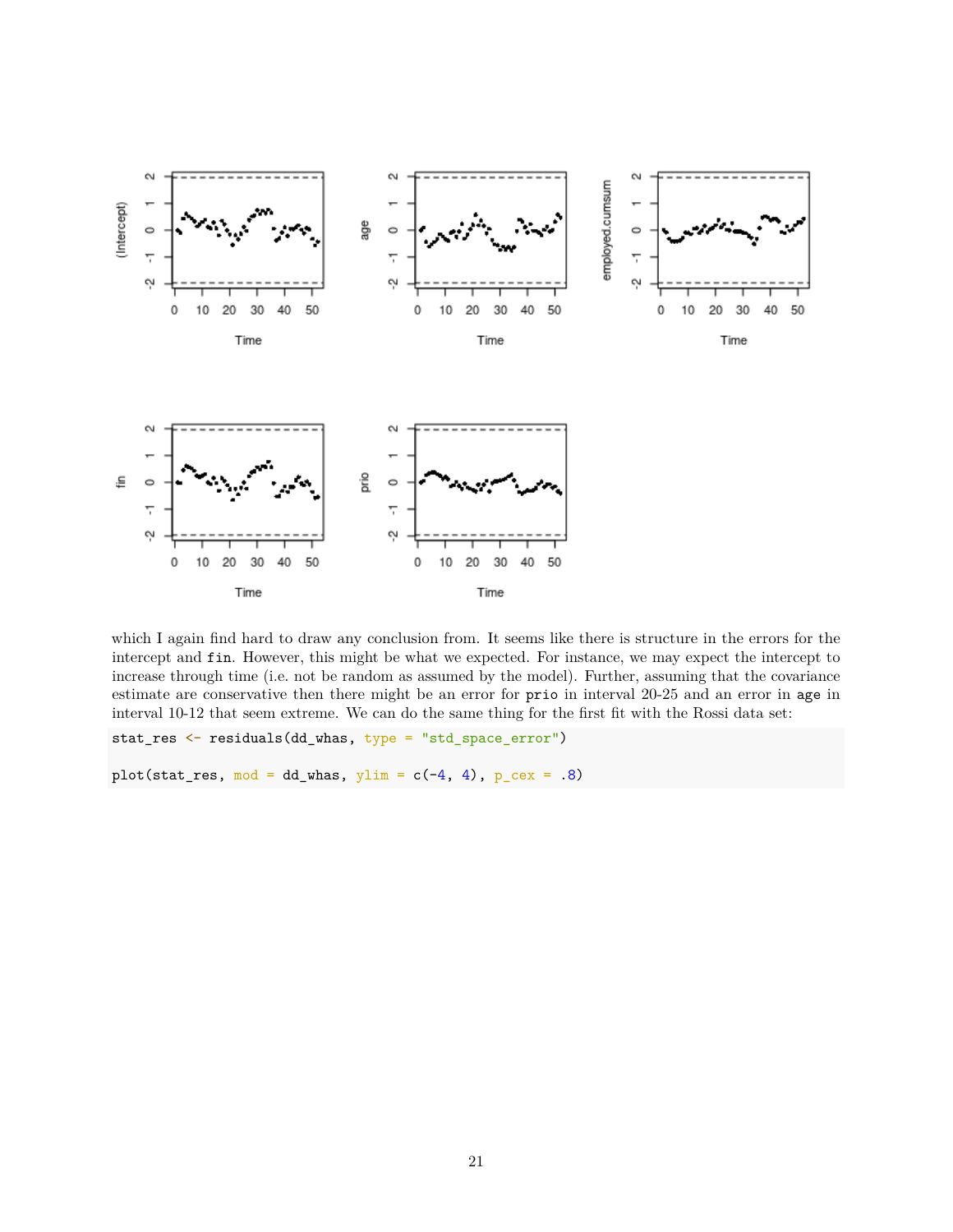

which I again find hard to draw any conclusion from. It seems like there is structure in the errors for the intercept and fin. However, this might be what we expected. For instance, we may expect the intercept to increase through time (i.e. not be random as assumed by the model). Further, assuming that the covariance estimate are conservative then there might be an error for prio in interval 20-25 and an error in age in interval 10-12 that seem extreme. We can do the same thing for the first fit with the Rossi data set:

stat\_res <- residuals(dd\_whas, type = "std\_space\_error")

plot(stat\_res, mod = dd\_whas, ylim =  $c(-4, 4)$ ,  $p_cex = .8$ )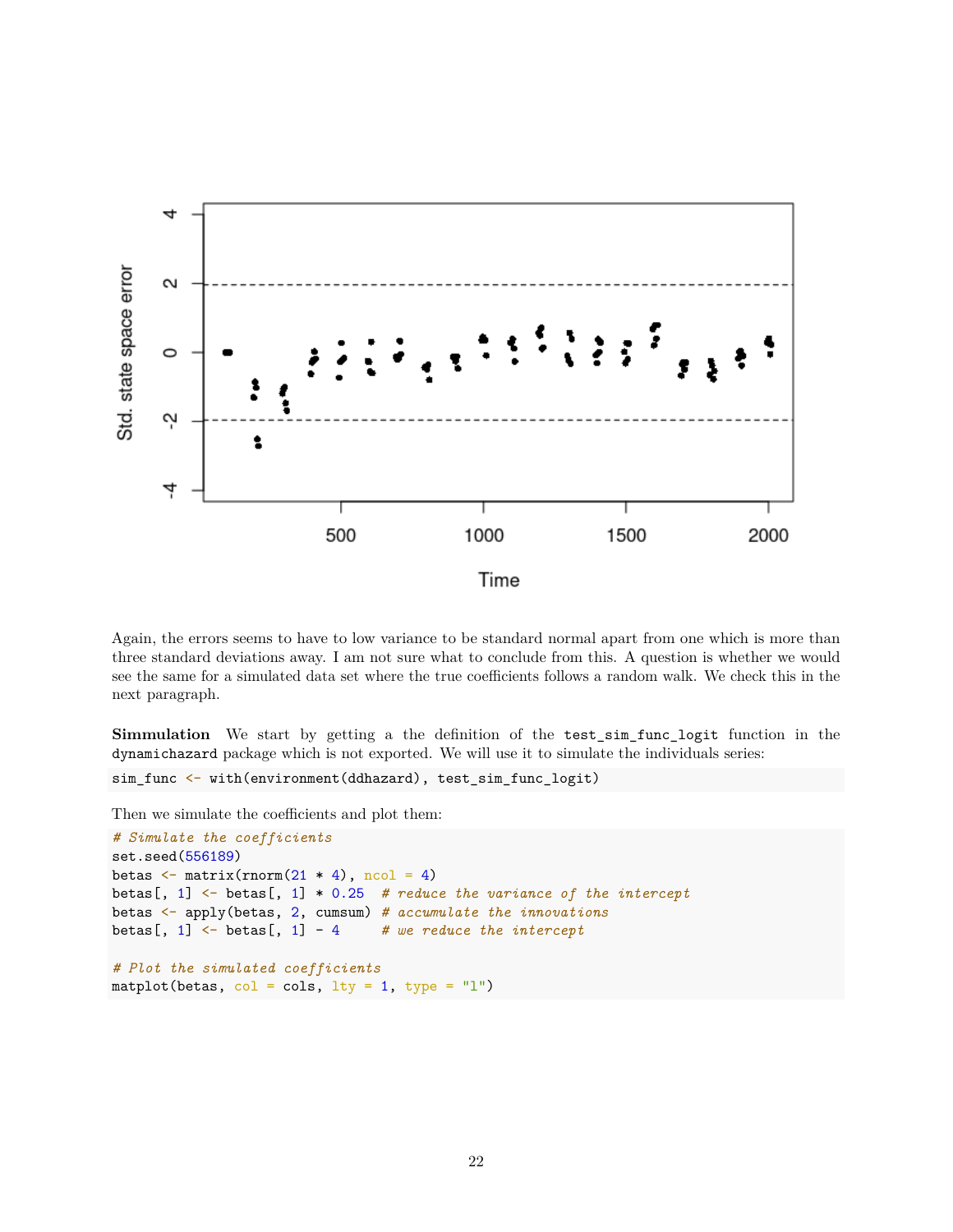

Again, the errors seems to have to low variance to be standard normal apart from one which is more than three standard deviations away. I am not sure what to conclude from this. A question is whether we would see the same for a simulated data set where the true coefficients follows a random walk. We check this in the next paragraph.

**Simmulation** We start by getting a the definition of the test\_sim\_func\_logit function in the dynamichazard package which is not exported. We will use it to simulate the individuals series:

```
sim_func <- with(environment(ddhazard), test_sim_func_logit)
```
Then we simulate the coefficients and plot them:

```
# Simulate the coefficients
set.seed(556189)
betas \leq matrix(rnorm(21 * 4), ncol = 4)
betas[, 1] <- betas[, 1] * 0.25 # reduce the variance of the intercept
betas <- apply(betas, 2, cumsum) # accumulate the innovations
betas[, 1] <- betas[, 1] - 4 # we reduce the intercept
# Plot the simulated coefficients
matplot(betas, col = cols, lty = 1, type = "l")
```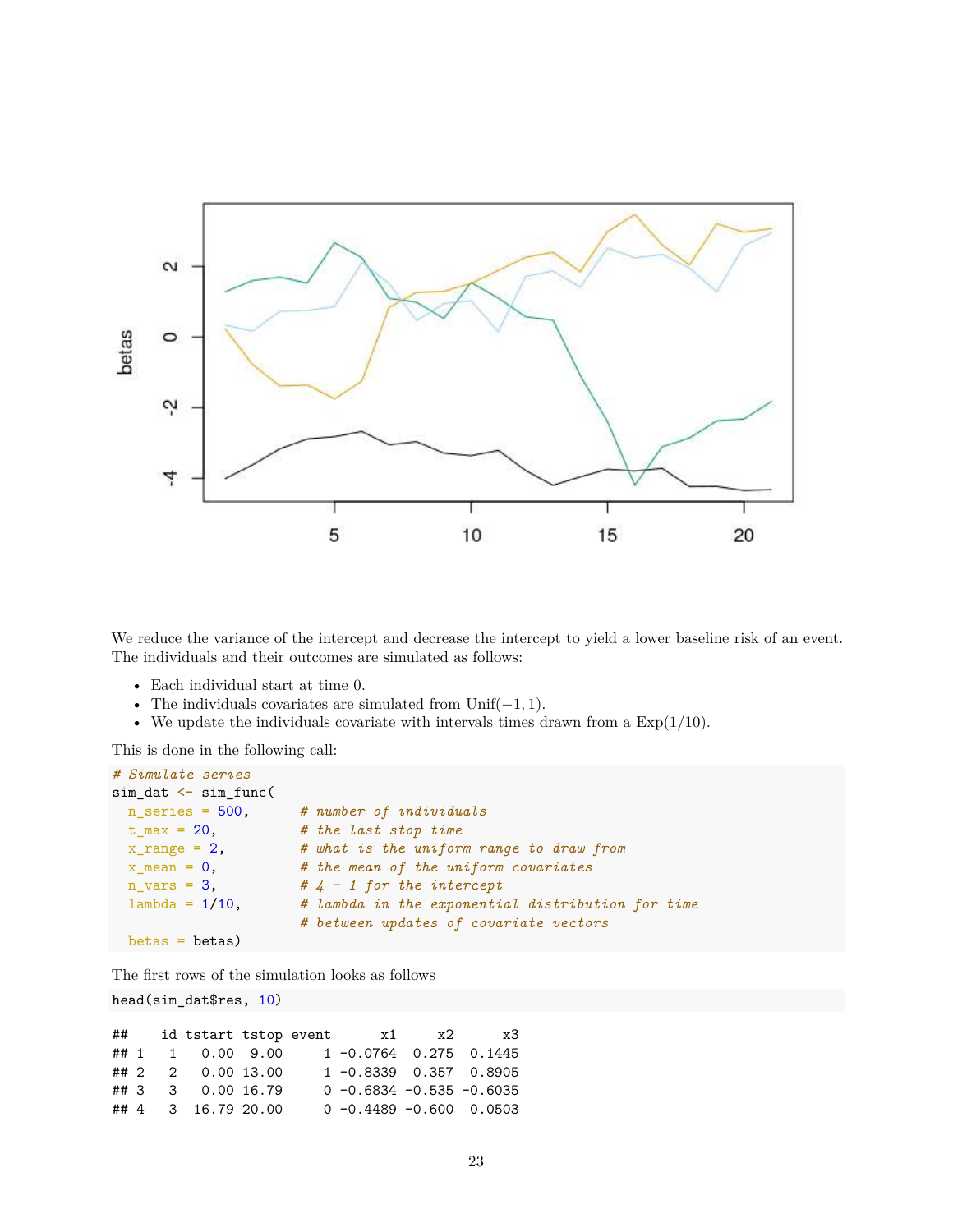

We reduce the variance of the intercept and decrease the intercept to yield a lower baseline risk of an event. The individuals and their outcomes are simulated as follows:

- Each individual start at time 0.
- The individuals covariates are simulated from Unif(−1*,* 1).
- We update the individuals covariate with intervals times drawn from a Exp(1*/*10).

This is done in the following call:

```
# Simulate series
sim dat \leq sim func(
 n_series = 500, # number of individuals
 t_max = 20, # the last stop time
 x_range = 2, # what is the uniform range to draw from
 x_mean = 0, # the mean of the uniform covariates
 n_{vars} = 3, \# 4 - 1 for the intercept
 lambda = 1/10, # lambda in the exponential distribution for time
                    # between updates of covariate vectors
 betas = betas)
```
The first rows of the simulation looks as follows

head(sim\_dat\$res, 10)

## id tstart tstop event x1 x2 x3 ## 1 1 0.00 9.00 1 -0.0764 0.275 0.1445 ## 2 2 0.00 13.00 1 -0.8339 0.357 0.8905 ## 3 3 0.00 16.79 0 -0.6834 -0.535 -0.6035 ## 4 3 16.79 20.00 0 -0.4489 -0.600 0.0503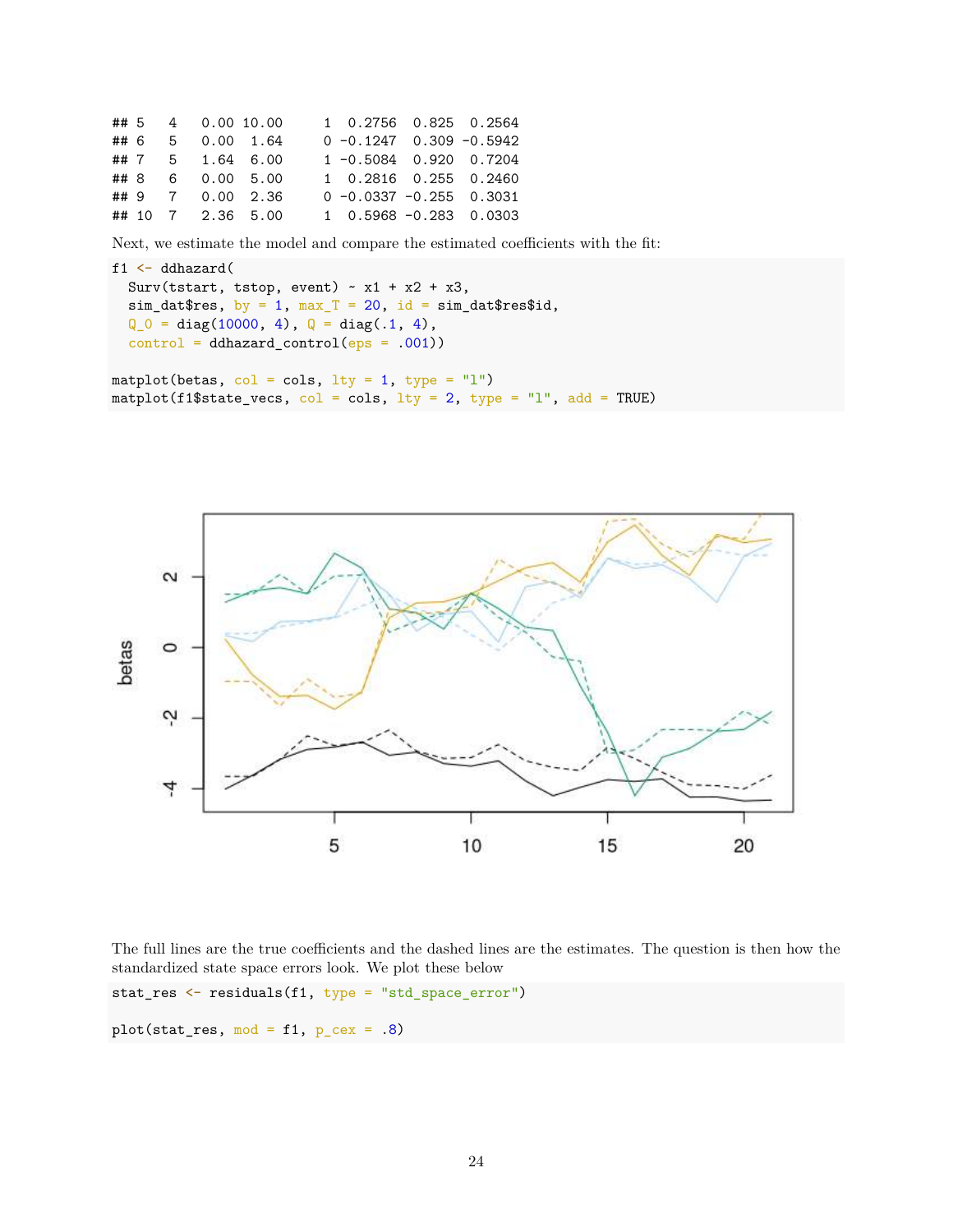## 5 4 0.00 10.00 1 0.2756 0.825 0.2564 ## 6 5 0.00 1.64 0 -0.1247 0.309 -0.5942 ## 7 5 1.64 6.00 1 -0.5084 0.920 0.7204 ## 8 6 0.00 5.00 1 0.2816 0.255 0.2460 ## 9 7 0.00 2.36 0 -0.0337 -0.255 0.3031 ## 10 7 2.36 5.00 1 0.5968 -0.283 0.0303

Next, we estimate the model and compare the estimated coefficients with the fit:

```
f1 <- ddhazard(
  Surv(tstart, tstop, event) \sim x1 + x2 + x3,
  sim\_dat$res, by = 1, max_T = 20, id = sim\_dat$res$id,Q_0 = diag(10000, 4), Q = diag(.1, 4),control = ddhazard</u>control(eps = .001))matplot(betas, col = cols, lty = 1, type = "l")
```
matplot(f1\$state\_vecs,  $col = \text{cols}, \text{ lty} = 2, \text{ type} = "l", \text{ add} = \text{TRUE})$ 



The full lines are the true coefficients and the dashed lines are the estimates. The question is then how the standardized state space errors look. We plot these below

stat\_res <- residuals(f1, type = "std\_space\_error")

plot(stat\_res, mod =  $f1$ ,  $p$ \_cex = .8)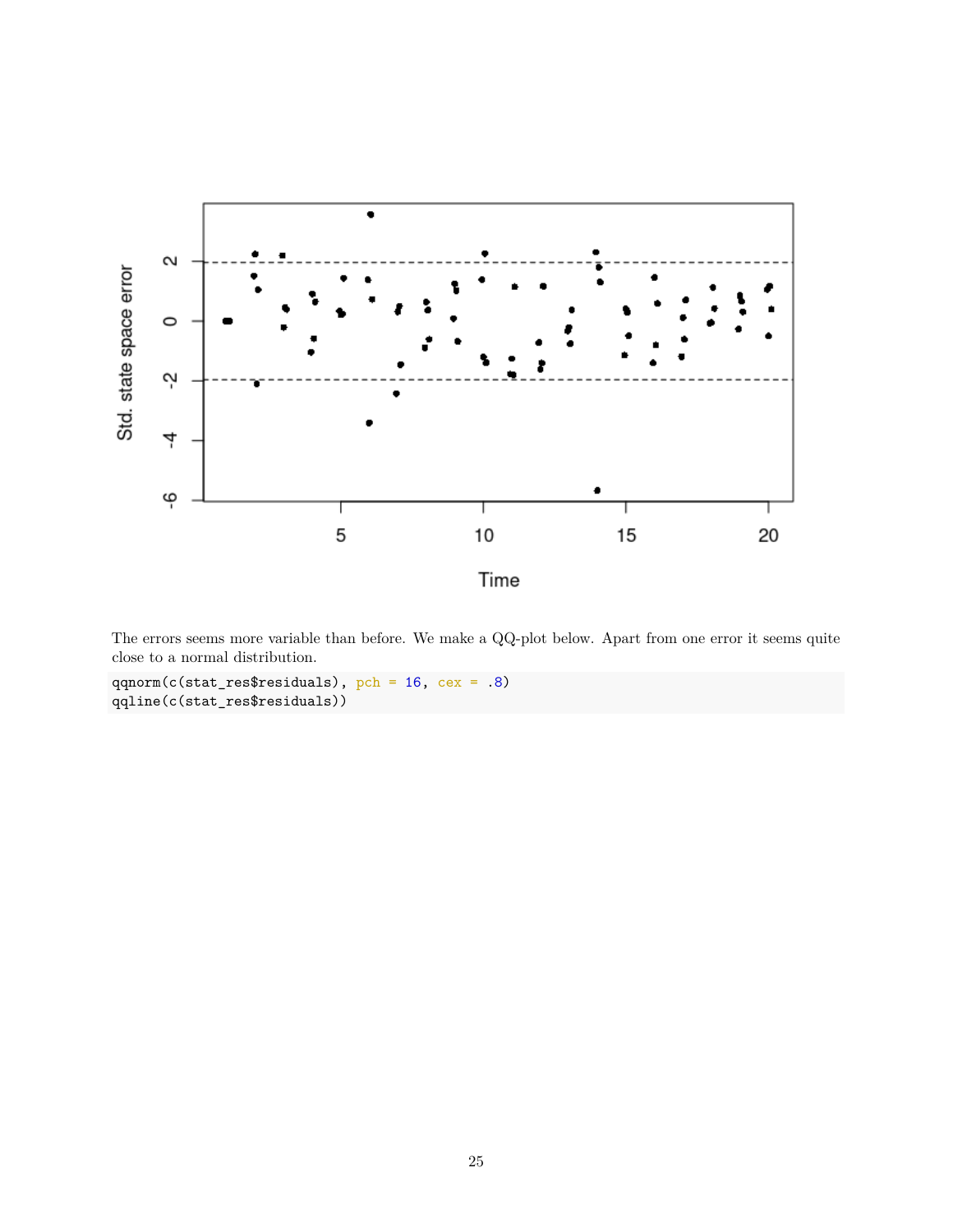

The errors seems more variable than before. We make a QQ-plot below. Apart from one error it seems quite close to a normal distribution.

qqnorm(c(stat\_res\$residuals), pch = 16, cex = .8) qqline(c(stat\_res\$residuals))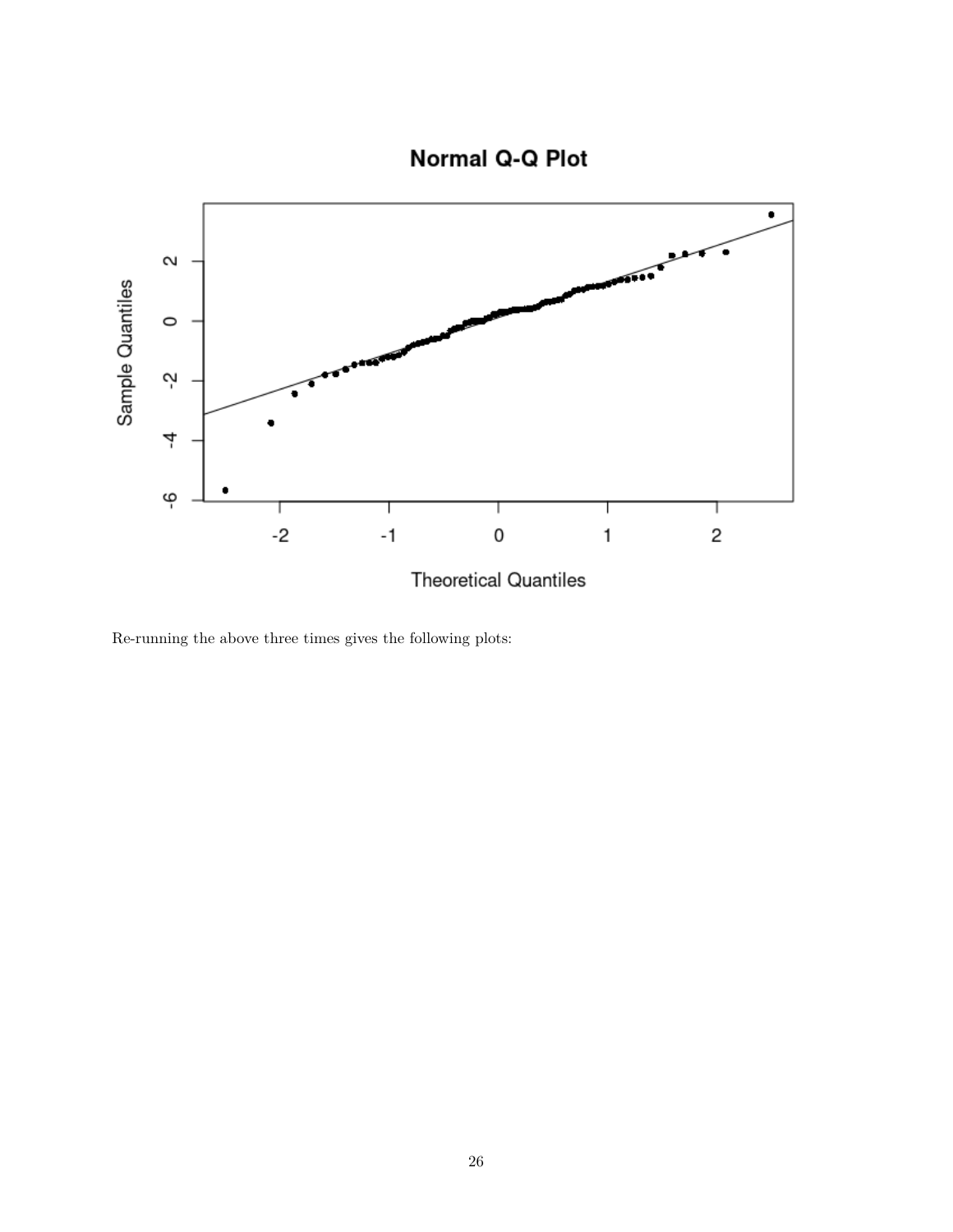

Re-running the above three times gives the following plots: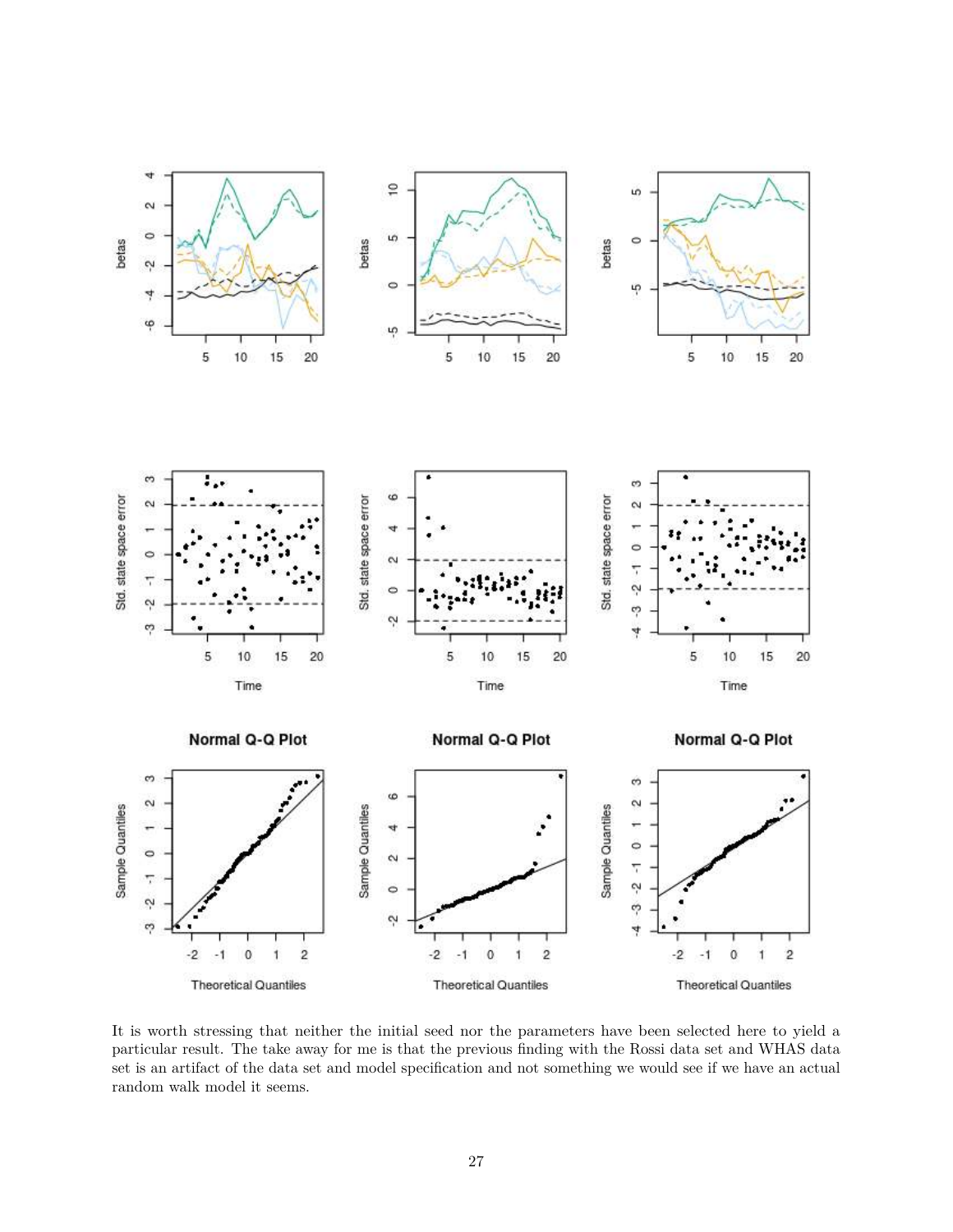

It is worth stressing that neither the initial seed nor the parameters have been selected here to yield a particular result. The take away for me is that the previous finding with the Rossi data set and WHAS data set is an artifact of the data set and model specification and not something we would see if we have an actual random walk model it seems.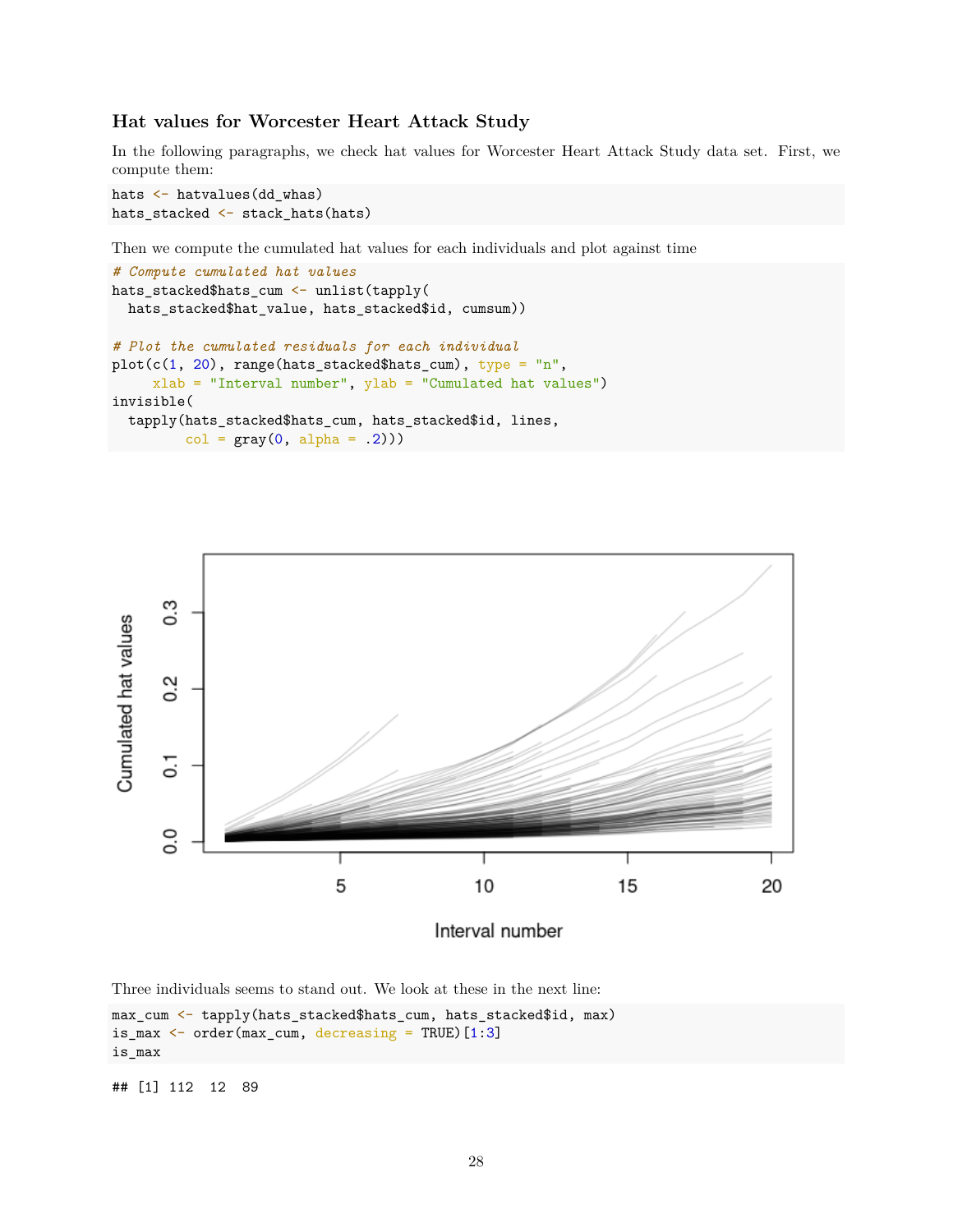#### **Hat values for Worcester Heart Attack Study**

In the following paragraphs, we check hat values for Worcester Heart Attack Study data set. First, we compute them:

```
hats <- hatvalues(dd_whas)
hats_stacked <- stack_hats(hats)
```
Then we compute the cumulated hat values for each individuals and plot against time

```
# Compute cumulated hat values
hats_stacked$hats_cum <- unlist(tapply(
 hats_stacked$hat_value, hats_stacked$id, cumsum))
# Plot the cumulated residuals for each individual
plot(c(1, 20), range(hats_stacked$hats_cum), type = "n",xlab = "Interval number", ylab = "Cumulated hat values")
invisible(
  tapply(hats_stacked$hats_cum, hats_stacked$id, lines,
        col = gray(0, alpha = .2))
```


Interval number

Three individuals seems to stand out. We look at these in the next line:

```
max_cum <- tapply(hats_stacked$hats_cum, hats_stacked$id, max)
is_max \leq order(max_cum, decreasing = TRUE) [1:3]
is_max
```
## [1] 112 12 89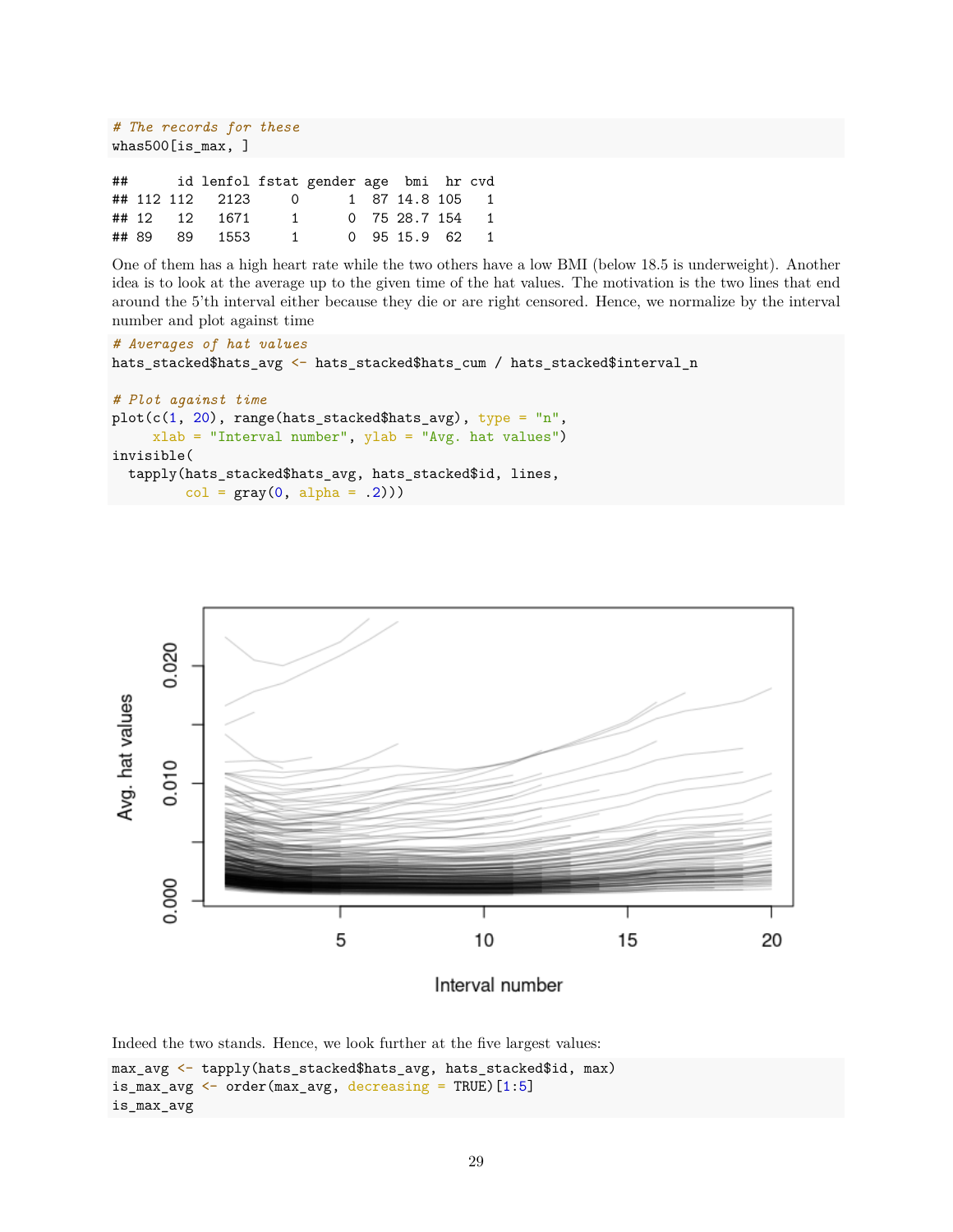```
# The records for these
whas500[is_max, ]
## id lenfol fstat gender age bmi hr cvd
## 112 112 2123 0 1 87 14.8 105 1
## 12 12 1671 1 0 75 28.7 154 1
## 89 89 1553 1 0 95 15.9 62 1
```
One of them has a high heart rate while the two others have a low BMI (below 18.5 is underweight). Another idea is to look at the average up to the given time of the hat values. The motivation is the two lines that end around the 5'th interval either because they die or are right censored. Hence, we normalize by the interval number and plot against time

```
# Averages of hat values
hats_stacked$hats_avg <- hats_stacked$hats_cum / hats_stacked$interval_n
# Plot against time
plot(c(1, 20), range(hats_stacked$hats_avg), type = "n",xlab = "Interval number", ylab = "Avg. hat values")
invisible(
  tapply(hats_stacked$hats_avg, hats_stacked$id, lines,
         col = gray(0, alpha = .2))
```


Interval number

Indeed the two stands. Hence, we look further at the five largest values:

```
max_avg <- tapply(hats_stacked$hats_avg, hats_stacked$id, max)
is_max_avg \leq order(max_avg, decreasing = TRUE) [1:5]
is_max_avg
```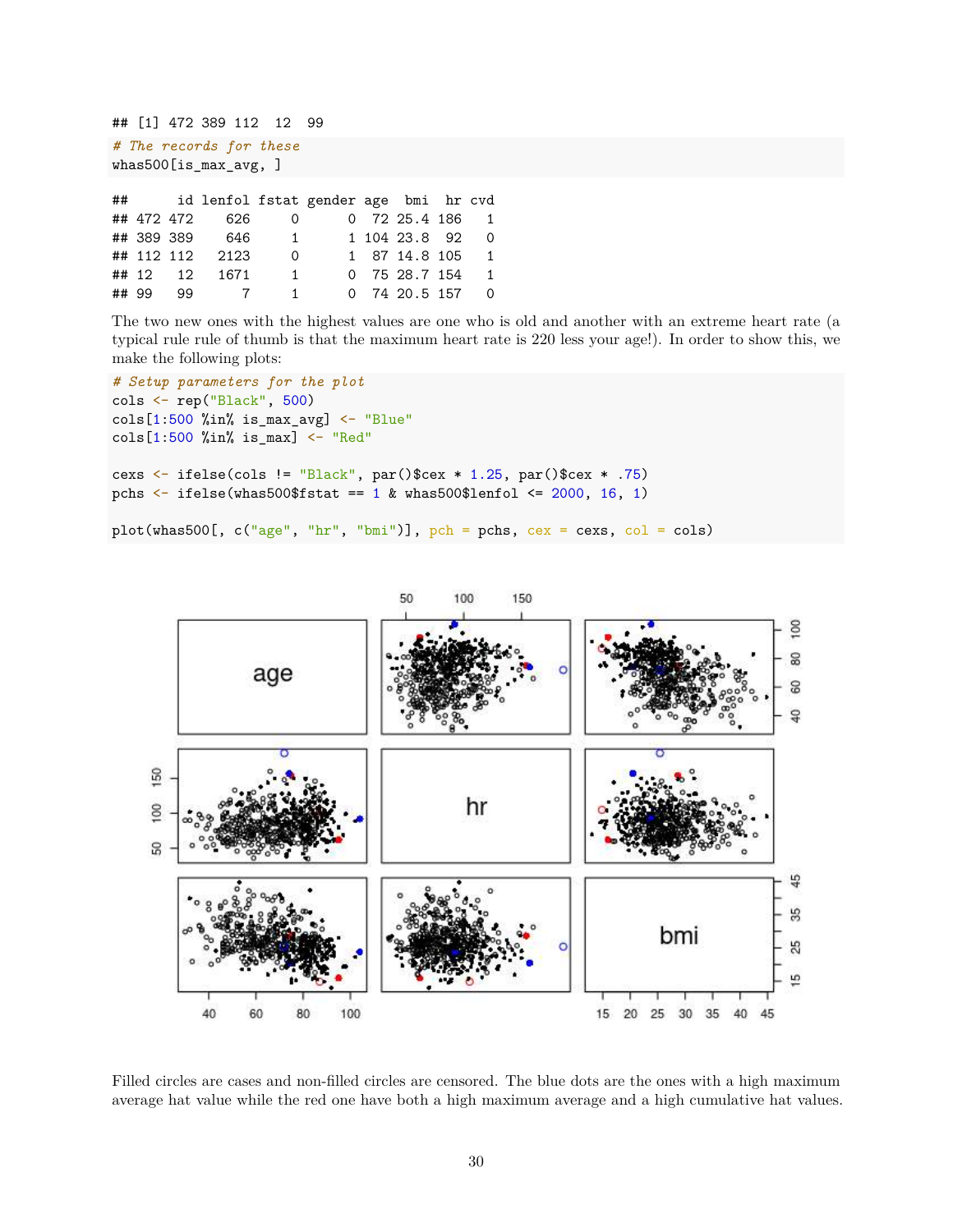## [1] 472 389 112 12 99

```
# The records for these
whas500[is_max_avg, ]
```

| ## |       |            |                 |                | id lenfol fstat gender age bmi hr cvd |                   |                |
|----|-------|------------|-----------------|----------------|---------------------------------------|-------------------|----------------|
|    |       | ## 472 472 | 626             | $\overline{0}$ |                                       | $0$ 72 25.4 186 1 |                |
|    |       | ## 389 389 | 646             | $\mathbf{1}$   |                                       | 1 104 23.8 92     | $\Omega$       |
|    |       |            | ## 112 112 2123 | $\Omega$       |                                       | 1 87 14.8 105 1   |                |
|    |       |            | ## 12 12 1671   | $\overline{1}$ |                                       | 0 75 28.7 154     | $\overline{1}$ |
|    | ## 99 | 99.        | $\overline{7}$  |                | $\mathbf{1}$                          | 0 74 20.5 157     | $\Omega$       |

The two new ones with the highest values are one who is old and another with an extreme heart rate (a typical rule rule of thumb is that the maximum heart rate is 220 less your age!). In order to show this, we make the following plots:

```
# Setup parameters for the plot
cols <- rep("Black", 500)
cols[1:500 %in% is_max_avg] <- "Blue"
cols[1:500 \text{ %in\% is\_max}] <- "Red"
cexs <- ifelse(cols != "Black", par()$cex * 1.25, par()$cex * .75)
pchs \le ifelse(whas500$fstat == 1 & whas500$lenfol \le 2000, 16, 1)
```
plot(whas500[,  $c("age", "hr", "bmi")$ ],  $pch = pchs, cex = cexs, col = cols)$ 



Filled circles are cases and non-filled circles are censored. The blue dots are the ones with a high maximum average hat value while the red one have both a high maximum average and a high cumulative hat values.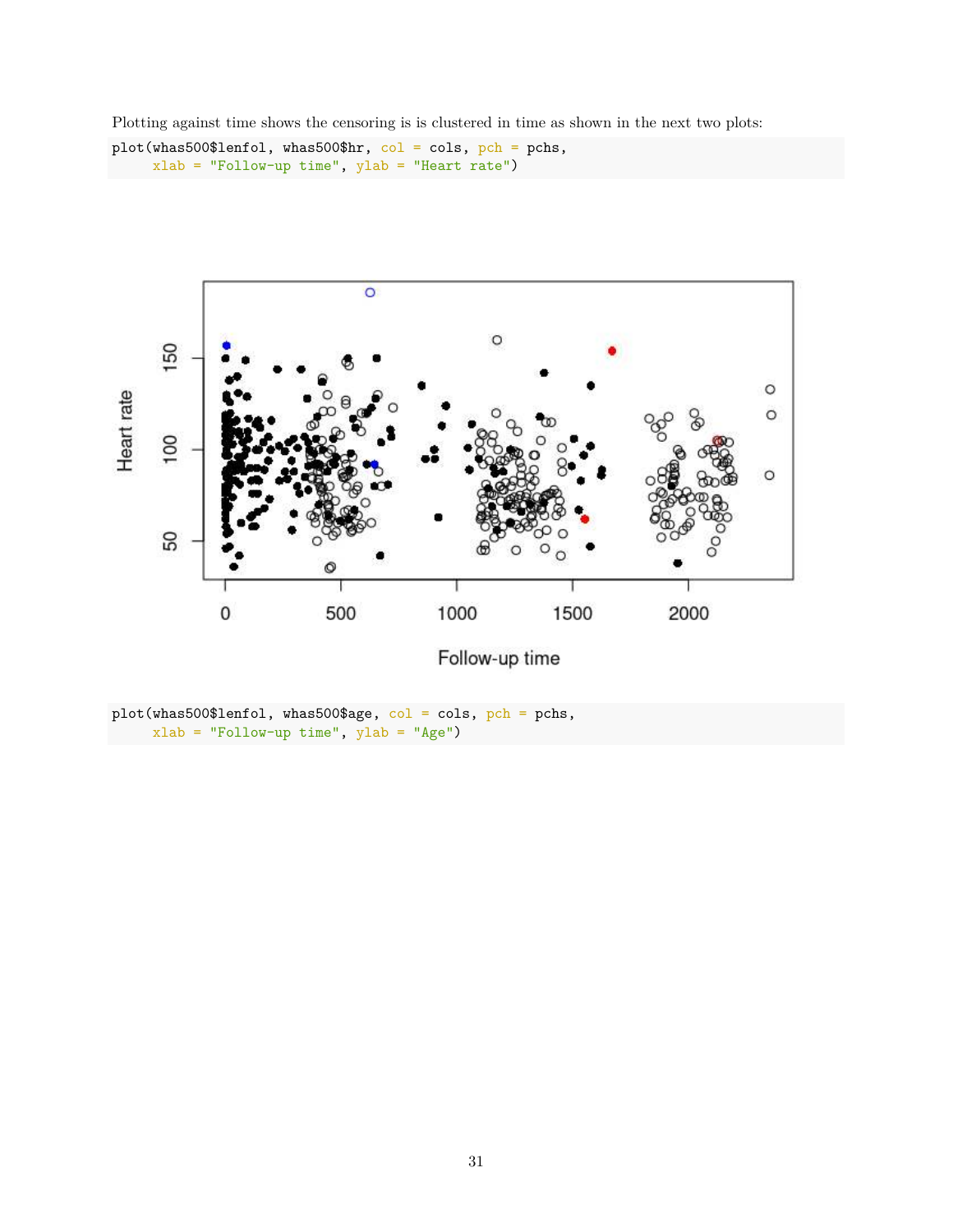Plotting against time shows the censoring is is clustered in time as shown in the next two plots:

```
plot(whas500$lenfol, whas500$hr, col = cols, pch = pchs,
     xlab = "Follow-up time", ylab = "Heart rate")
```


plot(whas500\$lenfol, whas500\$age, col = cols, pch = pchs, xlab = "Follow-up time", ylab = "Age")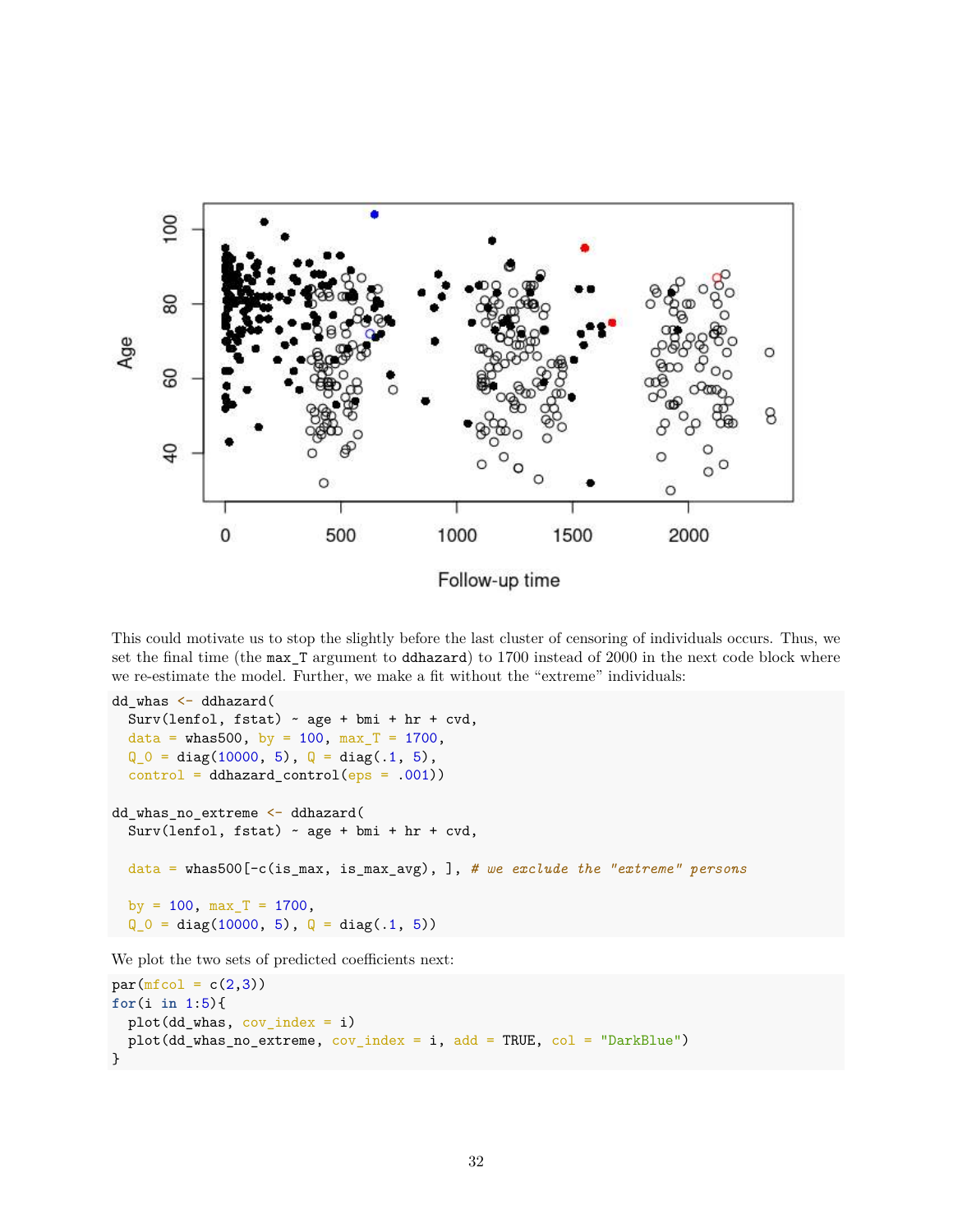

This could motivate us to stop the slightly before the last cluster of censoring of individuals occurs. Thus, we set the final time (the max\_T argument to ddhazard) to 1700 instead of 2000 in the next code block where we re-estimate the model. Further, we make a fit without the "extreme" individuals:

```
dd_whas <- ddhazard(
  Surv(lenfol, fstat) \sim age + bmi + hr + cvd,
  data = whas500, by = 100, max_T = 1700,
  Q_0 = diag(10000, 5), Q = diag(.1, 5),control = ddhazard_counto1(eps = .001))dd_whas_no_extreme <- ddhazard(
  Surv(lenfol, fstat) ~ age + bmi + hr + cvd,
  data = whas500[-c(is_max, is_max_avg), ], # we exclude the "extreme" persons
  by = 100, max_T = 1700,
  Q_0 = diag(10000, 5), Q = diag(.1, 5))
```
We plot the two sets of predicted coefficients next:

```
par(mfcol = c(2,3))for(i in 1:5){
  plot(dd_whas, cov_index = i)
  plot(dd_whas_no_extreme, cov_index = i, add = TRUE, col = "DarkBlue")
}
```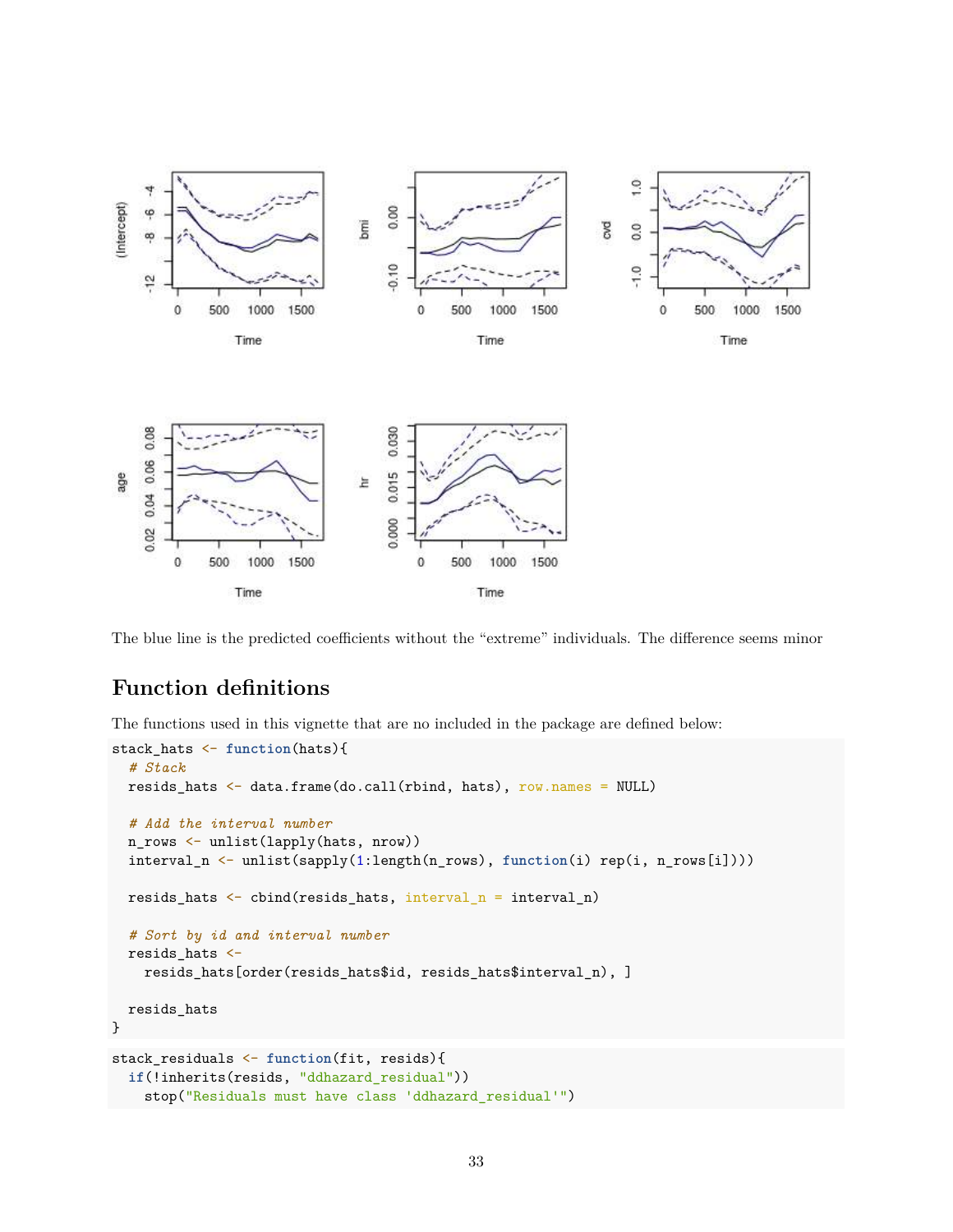

The blue line is the predicted coefficients without the "extreme" individuals. The difference seems minor

## **Function definitions**

The functions used in this vignette that are no included in the package are defined below:

```
stack_hats <- function(hats){
  # Stack
  resids_hats <- data.frame(do.call(rbind, hats), row.names = NULL)
  # Add the interval number
  n_rows <- unlist(lapply(hats, nrow))
  interval_n <- unlist(sapply(1:length(n_rows), function(i) rep(i, n_rows[i])))
  resids_hats \leftarrow cbind(resids_hats, interval_n = interval_n)
  # Sort by id and interval number
  resids hats \leftarrowresids_hats[order(resids_hats$id, resids_hats$interval_n), ]
  resids_hats
}
stack_residuals <- function(fit, resids){
  if(!inherits(resids, "ddhazard_residual"))
    stop("Residuals must have class 'ddhazard_residual'")
```